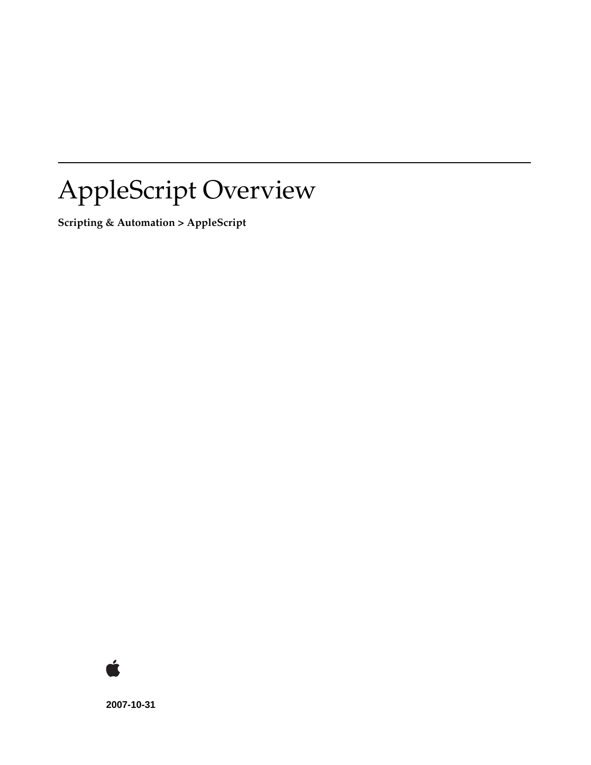# AppleScript Overview

**Scripting & Automation > AppleScript**



**2007-10-31**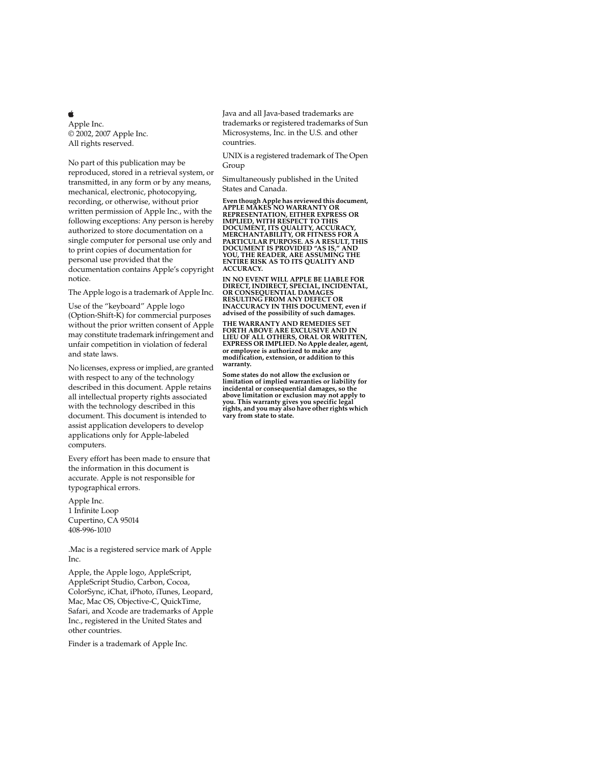#### á

Apple Inc. © 2002, 2007 Apple Inc. All rights reserved.

No part of this publication may be reproduced, stored in a retrieval system, or transmitted, in any form or by any means, mechanical, electronic, photocopying, recording, or otherwise, without prior written permission of Apple Inc., with the following exceptions: Any person is hereby authorized to store documentation on a single computer for personal use only and to print copies of documentation for personal use provided that the documentation contains Apple's copyright notice.

The Apple logo is a trademark of Apple Inc.

Use of the "keyboard" Apple logo (Option-Shift-K) for commercial purposes without the prior written consent of Apple may constitute trademark infringement and unfair competition in violation of federal and state laws.

No licenses, express or implied, are granted with respect to any of the technology described in this document. Apple retains all intellectual property rights associated with the technology described in this document. This document is intended to assist application developers to develop applications only for Apple-labeled computers.

Every effort has been made to ensure that the information in this document is accurate. Apple is not responsible for typographical errors.

Apple Inc. 1 Infinite Loop Cupertino, CA 95014 408-996-1010

.Mac is a registered service mark of Apple Inc.

Apple, the Apple logo, AppleScript, AppleScript Studio, Carbon, Cocoa, ColorSync, iChat, iPhoto, iTunes, Leopard, Mac, Mac OS, Objective-C, QuickTime, Safari, and Xcode are trademarks of Apple Inc., registered in the United States and other countries.

Finder is a trademark of Apple Inc.

Java and all Java-based trademarks are trademarks or registered trademarks of Sun Microsystems, Inc. in the U.S. and other countries.

UNIX is a registered trademark of The Open Group

Simultaneously published in the United States and Canada.

**Even though Apple has reviewed this document, APPLE MAKES NO WARRANTY OR REPRESENTATION, EITHER EXPRESS OR IMPLIED, WITH RESPECT TO THIS DOCUMENT, ITS QUALITY, ACCURACY, MERCHANTABILITY, OR FITNESS FOR A** PARTICULAR PURPOSE. AS A RESULT, THIS<br>DOCUMENT IS PROVIDED "AS IS," AND<br>YOU, THE READER, ARE ASSUMING THE **ENTIRE RISK AS TO ITS QUALITY AND ACCURACY.**

**IN NO EVENT WILL APPLE BE LIABLE FOR DIRECT, INDIRECT, SPECIAL, INCIDENTAL, OR CONSEQUENTIAL DAMAGES RESULTING FROM ANY DEFECT OR INACCURACY IN THIS DOCUMENT, even if advised of the possibility of such damages.**

THE WARRANTY AND REMEDIES SET<br>FORTH ABOVE ARE EXCLUSIVE AND IN<br>LIEU OF ALL OTHERS, ORAL OR WRITTEN,<br>EXPRESS OR IMPLIED. No Apple dealer, agent,<br>or employee is authorized to make any **modification, extension, or addition to this warranty.**

**Some states do not allow the exclusion or** limitation of implied warranties or liability for<br>incidental or consequential damages, so the<br>above limitation or exclusion may not apply to **you. This warranty gives you specific legal rights, and you may also have otherrights which vary from state to state.**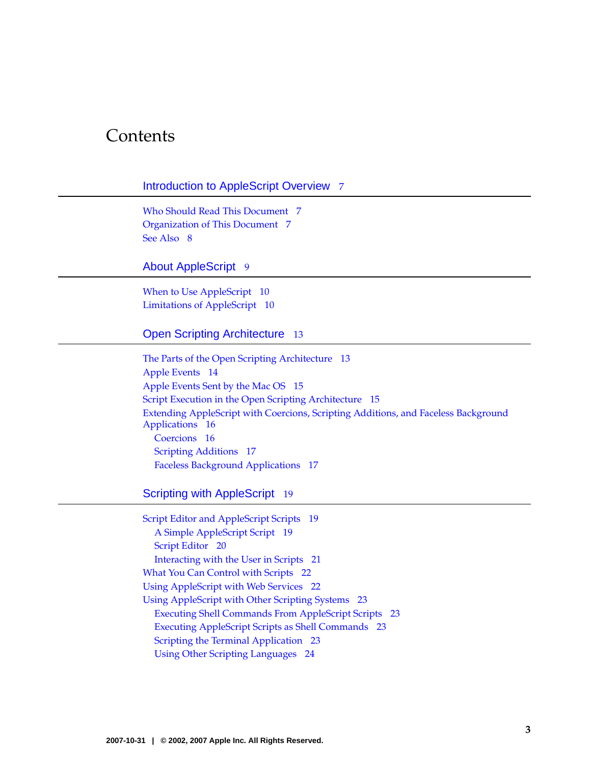#### Contents

#### [Introduction](#page-6-0) to AppleScript Overview 7

Who Should Read This [Document](#page-6-1) 7 [Organization](#page-6-2) of This Document 7 See [Also](#page-7-0) 8

About [AppleScript](#page-8-0) 9

When to Use [AppleScript](#page-9-0) 10 Limitations of [AppleScript](#page-9-1) 10

#### Open Scripting [Architecture](#page-12-0) 13

The Parts of the Open Scripting [Architecture](#page-12-1) 13 Apple [Events](#page-13-0) 14 Apple [Events](#page-14-0) Sent by the Mac OS 15 Script Execution in the Open Scripting [Architecture](#page-14-1) 15 Extending AppleScript with Coercions, Scripting Additions, and Faceless [Background](#page-15-0) [Applications](#page-15-0) 16 [Coercions](#page-15-1) 16 Scripting [Additions](#page-16-0) 17 Faceless Background [Applications](#page-16-1) 17

#### Scripting with [AppleScript](#page-18-0) 19

Script Editor and [AppleScript](#page-18-1) Scripts 19 A Simple [AppleScript](#page-18-2) Script 19 Script [Editor](#page-19-0) 20 [Interacting](#page-20-0) with the User in Scripts 21 What You Can [Control](#page-21-0) with Scripts 22 Using [AppleScript](#page-21-1) with Web Services 22 Using [AppleScript](#page-22-0) with Other Scripting Systems 23 Executing Shell Commands From [AppleScript](#page-22-1) Scripts 23 Executing [AppleScript](#page-22-2) Scripts as Shell Commands 23 Scripting the Terminal [Application](#page-22-3) 23 Using Other Scripting [Languages](#page-23-0) 24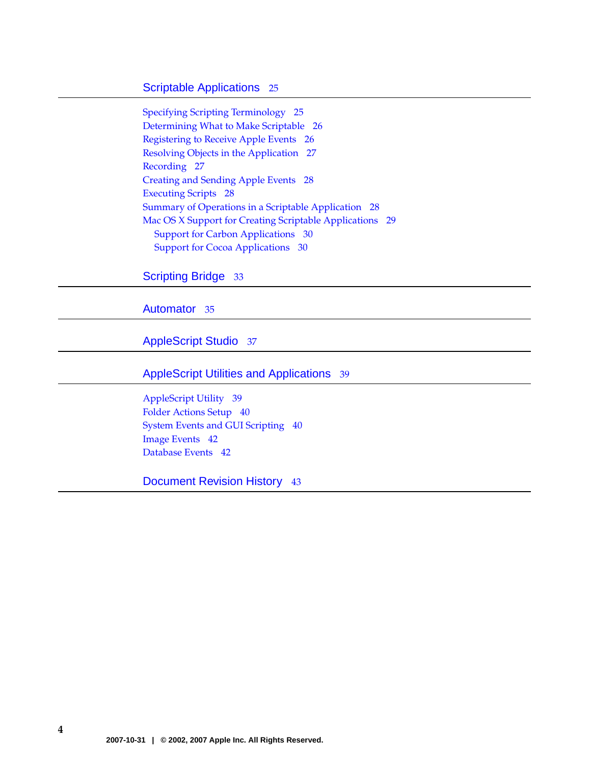Specifying Scripting [Terminology](#page-24-1) 25 [Determining](#page-25-0) What to Make Scriptable 26 [Registering](#page-25-1) to Receive Apple Events 26 Resolving Objects in the [Application](#page-26-0) 27 [Recording](#page-26-1) 27 [Creating](#page-27-0) and Sending Apple Events 28 [Executing](#page-27-1) Scripts 28 Summary of Operations in a Scriptable [Application](#page-27-2) 28 Mac OS X Support for Creating Scriptable [Applications](#page-28-0) 29 Support for Carbon [Applications](#page-29-0) 30 Support for Cocoa [Applications](#page-29-1) 30

[Scripting](#page-32-0) Bridge 33

[Automator](#page-34-0) 35

[AppleScript](#page-36-0) Studio 37

AppleScript Utilities and [Applications](#page-38-0) 39

[AppleScript](#page-38-1) Utility 39 Folder [Actions](#page-39-0) Setup 40 System Events and GUI [Scripting](#page-39-1) 40 Image [Events](#page-41-0) 42 [Database](#page-41-1) Events 42

[Document](#page-42-0) Revision History 43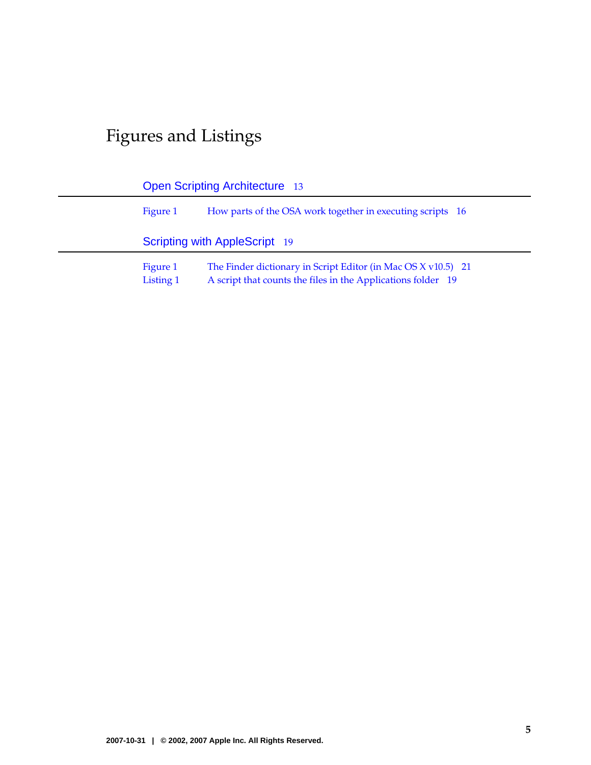# Figures and Listings

| <b>Open Scripting Architecture</b> 13 |                                                                                                                               |  |
|---------------------------------------|-------------------------------------------------------------------------------------------------------------------------------|--|
| Figure 1                              | How parts of the OSA work together in executing scripts 16                                                                    |  |
| <b>Scripting with AppleScript</b> 19  |                                                                                                                               |  |
| Figure 1<br>Listing 1                 | The Finder dictionary in Script Editor (in Mac OS X v10.5) 21<br>A script that counts the files in the Applications folder 19 |  |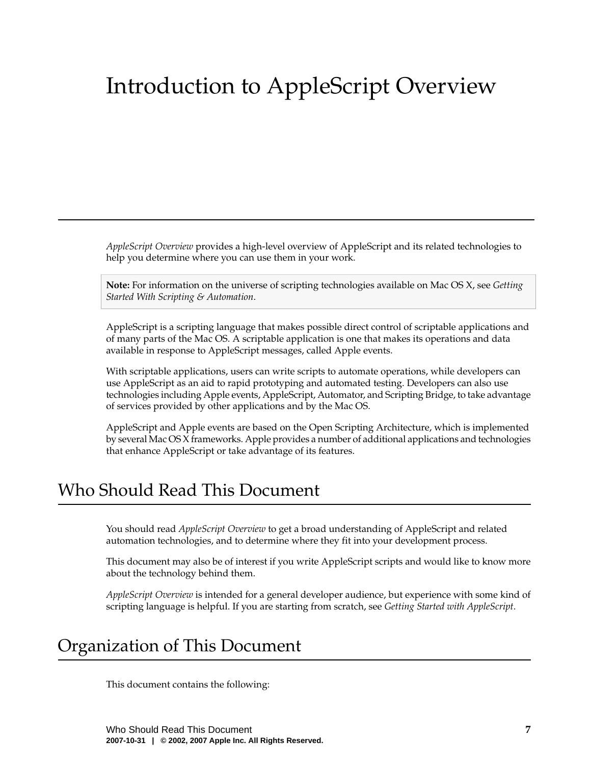# <span id="page-6-0"></span>Introduction to AppleScript Overview

*AppleScript Overview* provides a high-level overview of AppleScript and its related technologies to help you determine where you can use them in your work.

**Note:** For information on the universe of scripting technologies available on Mac OS X, see *Getting Started With Scripting & Automation*.

AppleScript is a scripting language that makes possible direct control of scriptable applications and of many parts of the Mac OS. A scriptable application is one that makes its operations and data available in response to AppleScript messages, called Apple events.

With scriptable applications, users can write scripts to automate operations, while developers can use AppleScript as an aid to rapid prototyping and automated testing. Developers can also use technologies including Apple events, AppleScript, Automator, and Scripting Bridge, to take advantage of services provided by other applications and by the Mac OS.

<span id="page-6-1"></span>AppleScript and Apple events are based on the Open Scripting Architecture, which is implemented byseveral Mac OS X frameworks. Apple provides a number of additional applications and technologies that enhance AppleScript or take advantage of its features.

## Who Should Read This Document

You should read *AppleScript Overview* to get a broad understanding of AppleScript and related automation technologies, and to determine where they fit into your development process.

This document may also be of interest if you write AppleScript scripts and would like to know more about the technology behind them.

<span id="page-6-2"></span>*AppleScript Overview* is intended for a general developer audience, but experience with some kind of scripting language is helpful. If you are starting from scratch, see *Getting Started with AppleScript*.

### Organization of This Document

This document contains the following: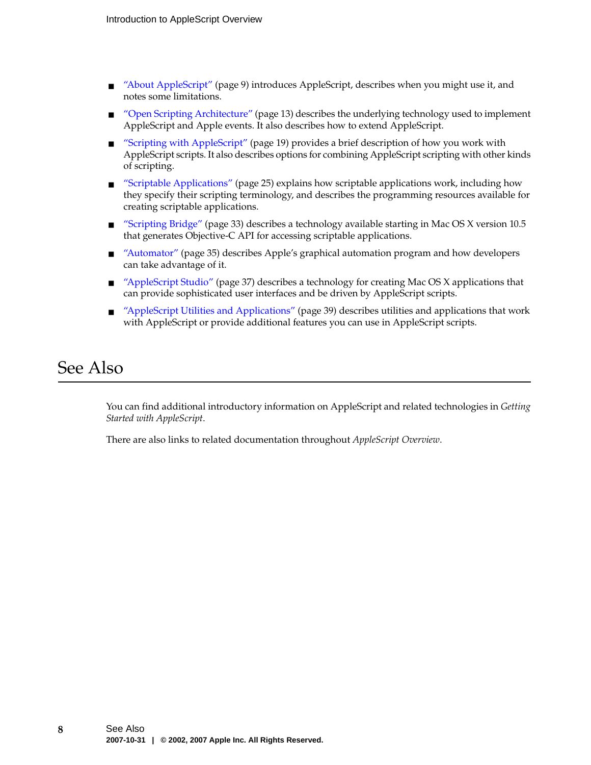- "About [AppleScript"](#page-8-0) (page 9) introduces AppleScript, describes when you might use it, and notes some limitations.
- "Open Scripting [Architecture"](#page-12-0) (page 13) describes the underlying technology used to implement AppleScript and Apple events. It also describes how to extend AppleScript.
- "Scripting with [AppleScript"](#page-18-0) (page 19) provides a brief description of how you work with AppleScript scripts. It also describes options for combining AppleScript scripting with other kinds of scripting.
- "Scriptable [Applications"](#page-24-0) (page 25) explains how scriptable applications work, including how they specify their scripting terminology, and describes the programming resources available for creating scriptable applications.
- ["Scripting](#page-32-0) Bridge" (page 33) describes a technology available starting in Mac OS X version 10.5 that generates Objective-C API for accessing scriptable applications.
- *["Automator"](#page-34-0)* (page 35) describes Apple's graphical automation program and how developers can take advantage of it.
- ["AppleScript](#page-36-0) Studio" (page 37) describes a technology for creating Mac OS X applications that can provide sophisticated user interfaces and be driven by AppleScript scripts.
- *"AppleScript Utilities and [Applications"](#page-38-0)* (page 39) describes utilities and applications that work with AppleScript or provide additional features you can use in AppleScript scripts.

## <span id="page-7-0"></span>See Also

You can find additional introductory information on AppleScript and related technologies in *Getting Started with AppleScript*.

There are also links to related documentation throughout *AppleScript Overview*.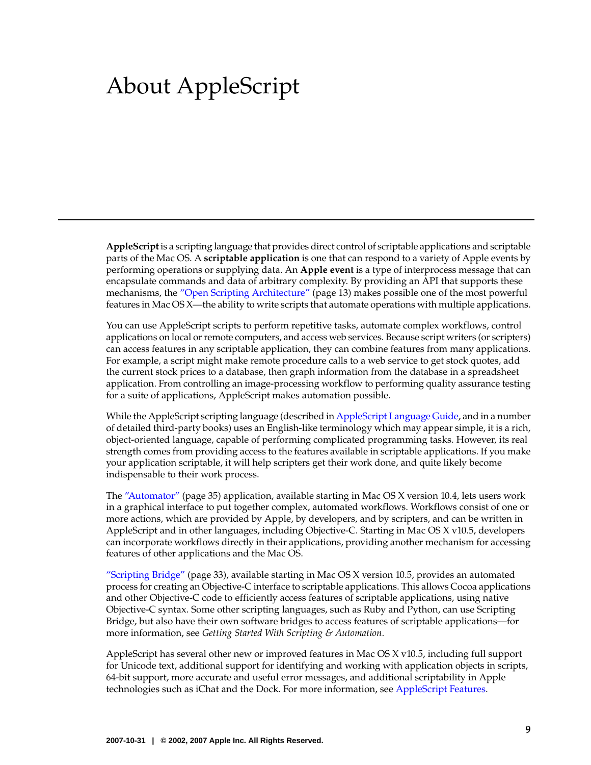# <span id="page-8-0"></span>About AppleScript

**AppleScript** is a scriptinglanguage that provides direct control of scriptable applications and scriptable parts of the Mac OS. A **scriptable application** is one that can respond to a variety of Apple events by performing operations or supplying data. An **Apple event** is a type of interprocess message that can encapsulate commands and data of arbitrary complexity. By providing an API that supports these mechanisms, the "Open Scripting [Architecture"](#page-12-0) (page 13) makes possible one of the most powerful features in Mac OS X—the ability to write scripts that automate operations with multiple applications.

You can use AppleScript scripts to perform repetitive tasks, automate complex workflows, control applications on local or remote computers, and access web services. Because script writers (or scripters) can access features in any scriptable application, they can combine features from many applications. For example, a script might make remote procedure calls to a web service to get stock quotes, add the current stock prices to a database, then graph information from the database in a spreadsheet application. From controlling an image-processing workflow to performing quality assurance testing for a suite of applications, AppleScript makes automation possible.

While the AppleScript scriptinglanguage (described in [AppleScript](http://developer.apple.com/documentation/AppleScript/Conceptual/AppleScriptLangGuide/index.html) Language Guide, and in a number of detailed third-party books) uses an English-like terminology which may appear simple, it is a rich, object-oriented language, capable of performing complicated programming tasks. However, its real strength comes from providing access to the features available in scriptable applications. If you make your application scriptable, it will help scripters get their work done, and quite likely become indispensable to their work process.

The ["Automator"](#page-34-0) (page 35) application, available starting in Mac OS X version 10.4, lets users work in a graphical interface to put together complex, automated workflows. Workflows consist of one or more actions, which are provided by Apple, by developers, and by scripters, and can be written in AppleScript and in other languages, including Objective-C. Starting in Mac OS X v10.5, developers can incorporate workflows directly in their applications, providing another mechanism for accessing features of other applications and the Mac OS.

["Scripting](#page-32-0) Bridge" (page 33), available starting in Mac OS X version 10.5, provides an automated process for creatingan Objective-C interface to scriptable applications. This allows Cocoa applications and other Objective-C code to efficiently access features of scriptable applications, using native Objective-C syntax. Some other scripting languages, such as Ruby and Python, can use Scripting Bridge, but also have their own software bridges to access features of scriptable applications—for more information, see *Getting Started With Scripting & Automation*.

AppleScript has several other new or improved features in Mac OS X v10.5, including full support for Unicode text, additional support for identifying and working with application objects in scripts, 64-bit support, more accurate and useful error messages, and additional scriptability in Apple technologies such as iChat and the Dock. For more information, see [AppleScript](http://www.apple.com/applescript/features/) Features.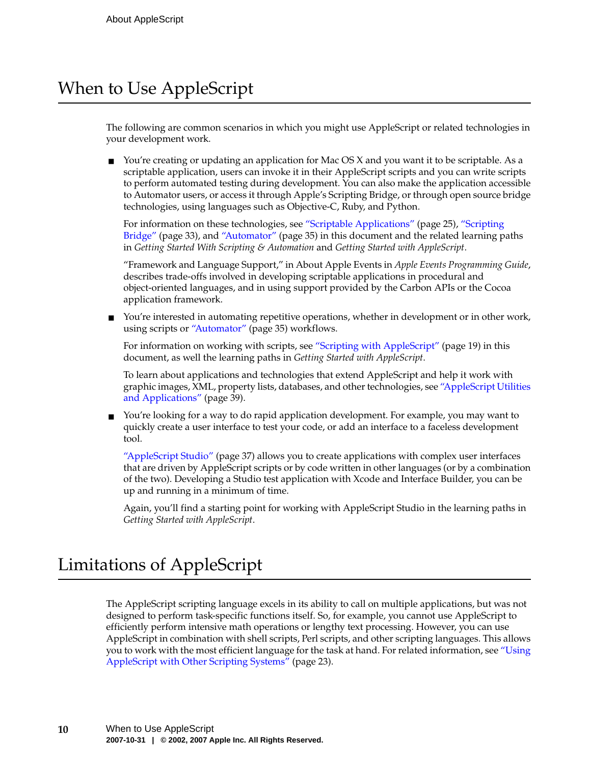### <span id="page-9-0"></span>When to Use AppleScript

The following are common scenarios in which you might use AppleScript or related technologies in your development work.

You're creating or updating an application for Mac OS X and you want it to be scriptable. As a scriptable application, users can invoke it in their AppleScript scripts and you can write scripts to perform automated testing during development. You can also make the application accessible to Automator users, or access it through Apple's Scripting Bridge, or through open source bridge technologies, using languages such as Objective-C, Ruby, and Python.

For information on these technologies, see "Scriptable [Applications"](#page-24-0) (page 25), ["Scripting](#page-32-0) [Bridge"](#page-32-0) (page 33), and ["Automator"](#page-34-0) (page 35) in this document and the related learning paths in *Getting Started With Scripting & Automation* and *Getting Started with AppleScript*.

"Framework and Language Support," in About Apple Events in *Apple Events Programming Guide*, describes trade-offs involved in developing scriptable applications in procedural and object-oriented languages, and in using support provided by the Carbon APIs or the Cocoa application framework.

You're interested in automating repetitive operations, whether in development or in other work, using scripts or ["Automator"](#page-34-0) (page 35) workflows.

For information on working with scripts, see "Scripting with [AppleScript"](#page-18-0) (page 19) in this document, as well the learning paths in *Getting Started with AppleScript*.

To learn about applications and technologies that extend AppleScript and help it work with graphic images, XML, propertylists, databases, and othertechnologies, see ["AppleScript](#page-38-0) Utilities and [Applications"](#page-38-0) (page 39).

You're looking for a way to do rapid application development. For example, you may want to quickly create a user interface to test your code, or add an interface to a faceless development tool.

["AppleScript](#page-36-0) Studio" (page 37) allows you to create applications with complex user interfaces that are driven by AppleScript scripts or by code written in other languages (or by a combination of the two). Developing a Studio test application with Xcode and Interface Builder, you can be up and running in a minimum of time.

Again, you'll find a starting point for working with AppleScript Studio in the learning paths in *Getting Started with AppleScript*.

## <span id="page-9-1"></span>Limitations of AppleScript

The AppleScript scripting language excels in its ability to call on multiple applications, but was not designed to perform task-specific functions itself. So, for example, you cannot use AppleScript to efficiently perform intensive math operations or lengthy text processing. However, you can use AppleScript in combination with shell scripts, Perl scripts, and other scripting languages. This allows you to work with the most efficient language for the task at hand. For related information, see ["Using](#page-22-0) [AppleScript](#page-22-0) with Other Scripting Systems" (page 23).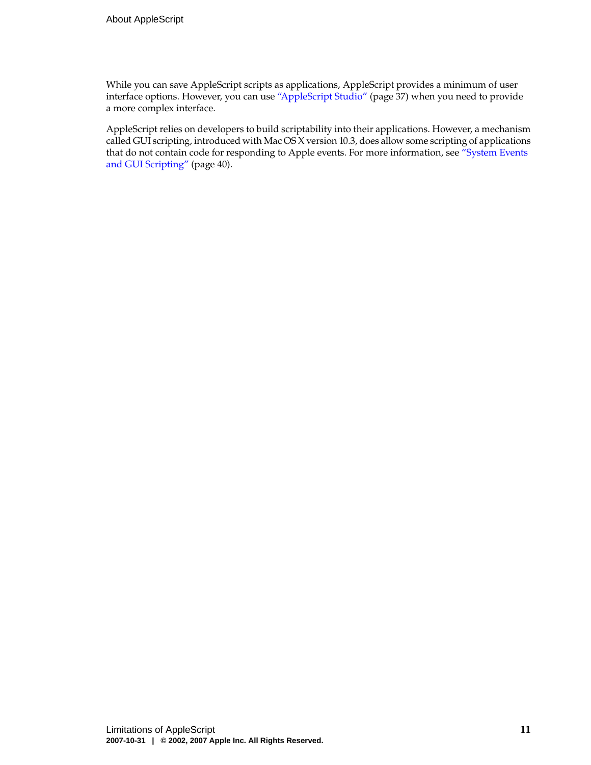While you can save AppleScript scripts as applications, AppleScript provides a minimum of user interface options. However, you can use ["AppleScript](#page-36-0) Studio" (page 37) when you need to provide a more complex interface.

AppleScript relies on developers to build scriptability into their applications. However, a mechanism called GUI scripting, introduced with Mac OS X version 10.3, does allow some scripting of applications that do not contain code for responding to Apple events. For more information, see ["System](#page-39-1) Events and GUI [Scripting"](#page-39-1) (page 40).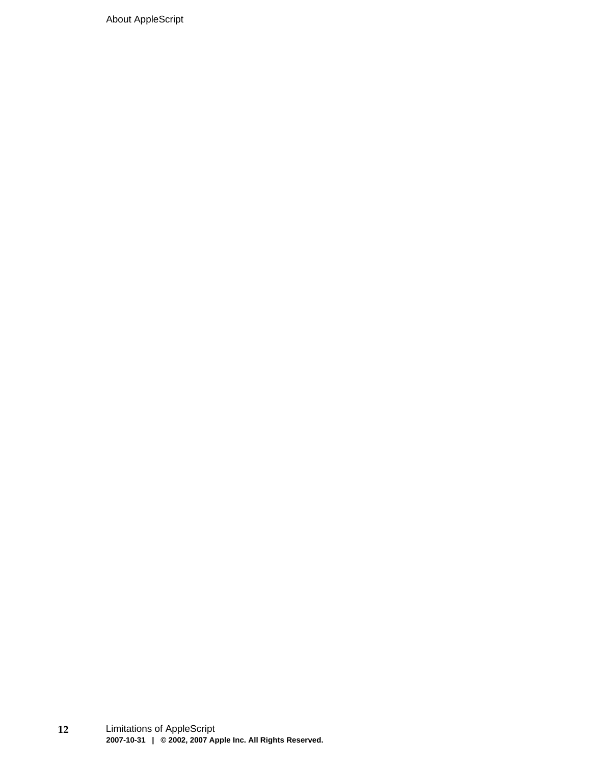About AppleScript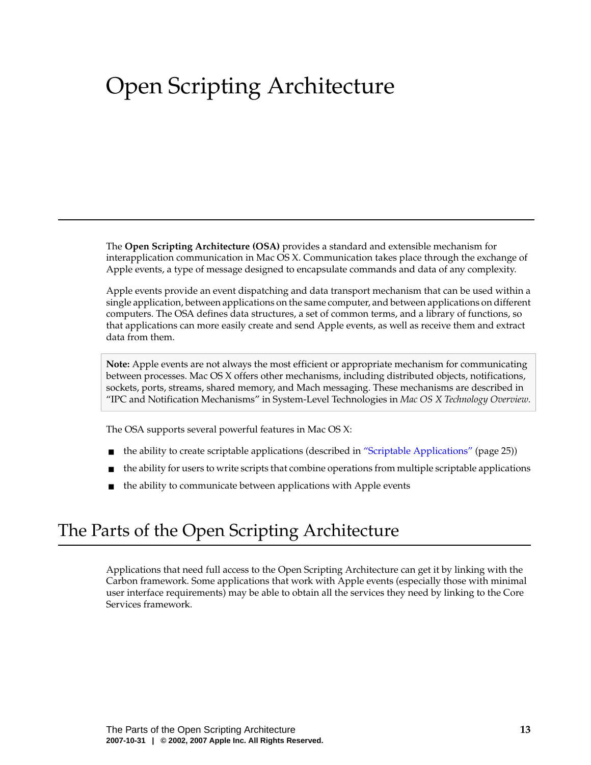# <span id="page-12-0"></span>Open Scripting Architecture

The **Open Scripting Architecture (OSA)** provides a standard and extensible mechanism for interapplication communication in Mac OS X. Communication takes place through the exchange of Apple events, a type of message designed to encapsulate commands and data of any complexity.

Apple events provide an event dispatching and data transport mechanism that can be used within a single application, between applications on the same computer, and between applications on different computers. The OSA defines data structures, a set of common terms, and a library of functions, so that applications can more easily create and send Apple events, as well as receive them and extract data from them.

**Note:** Apple events are not always the most efficient or appropriate mechanism for communicating between processes. Mac OS X offers other mechanisms, including distributed objects, notifications, sockets, ports, streams, shared memory, and Mach messaging. These mechanisms are described in "IPC and Notification Mechanisms" in System-Level Technologies in *Mac OS X Technology Overview*.

The OSA supports several powerful features in Mac OS X:

- the ability to create scriptable applications (described in "Scriptable [Applications"](#page-24-0) (page 25))
- the ability for users to write scripts that combine operations from multiple scriptable applications
- the ability to communicate between applications with Apple events

#### <span id="page-12-1"></span>The Parts of the Open Scripting Architecture

Applications that need full access to the Open Scripting Architecture can get it by linking with the Carbon framework. Some applications that work with Apple events (especially those with minimal user interface requirements) may be able to obtain all the services they need by linking to the Core Services framework.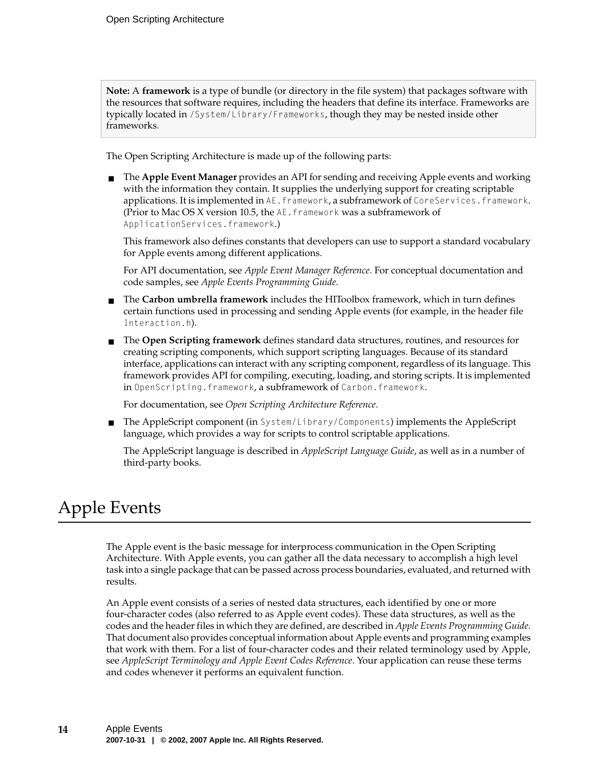**Note:** A **framework** is a type of bundle (or directory in the file system) that packages software with the resources that software requires, including the headers that define its interface. Frameworks are typically located in /System/Library/Frameworks, though they may be nested inside other frameworks.

The Open Scripting Architecture is made up of the following parts:

■ The **Apple Event Manager** provides an API for sendingand receiving Apple events andworking with the information they contain. It supplies the underlying support for creating scriptable applications. It is implemented in AE.framework, a subframework of CoreServices.framework. (Prior to Mac OS X version 10.5, the AE.framework was a subframework of ApplicationServices.framework.)

This framework also defines constants that developers can use to support a standard vocabulary for Apple events among different applications.

For API documentation, see *Apple Event Manager Reference*. For conceptual documentation and code samples, see *Apple Events Programming Guide*.

- The **Carbon umbrella framework** includes the HIToolbox framework, which in turn defines certain functions used in processing and sending Apple events (for example, in the header file Interaction.h).
- The **Open Scripting framework** defines standard data structures, routines, and resources for creating scripting components, which support scripting languages. Because of its standard interface, applications can interact with any scripting component, regardless of its language. This framework provides API for compiling, executing, loading, and storingscripts. It is implemented in OpenScripting.framework, a subframework of Carbon.framework.

For documentation, see *Open Scripting Architecture Reference*.

■ The AppleScript component (in System/Library/Components) implements the AppleScript language, which provides a way for scripts to control scriptable applications.

The AppleScript language is described in *AppleScript Language Guide*, as well as in a number of third-party books.

# <span id="page-13-0"></span>Apple Events

The Apple event is the basic message for interprocess communication in the Open Scripting Architecture. With Apple events, you can gather all the data necessary to accomplish a high level task into a single package that can be passed across process boundaries, evaluated, and returned with results.

An Apple event consists of a series of nested data structures, each identified by one or more four-character codes (also referred to as Apple event codes). These data structures, as well as the codes and the headerfiles inwhich theyare defined, are described in *Apple Events Programming Guide*. That document also provides conceptual information about Apple events and programmingexamples that work with them. For a list of four-character codes and their related terminology used by Apple, see *AppleScript Terminology and Apple Event Codes Reference*. Your application can reuse these terms and codes whenever it performs an equivalent function.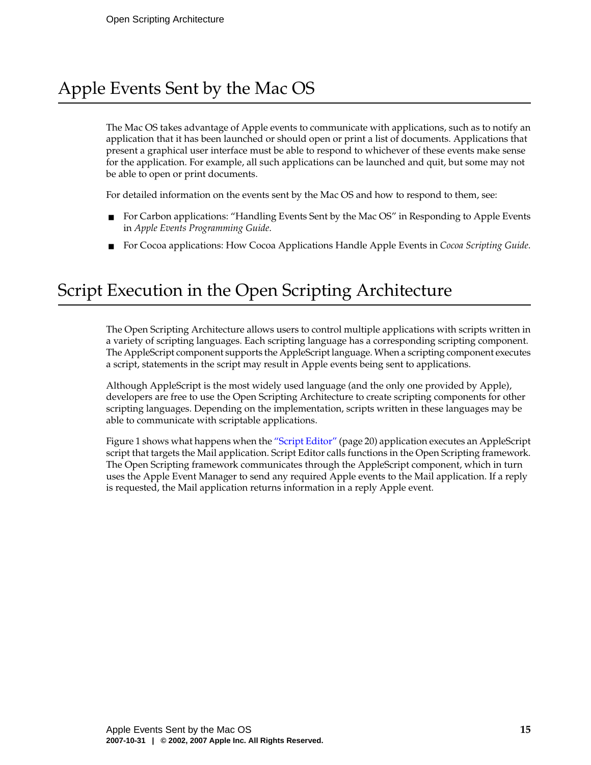# <span id="page-14-0"></span>Apple Events Sent by the Mac OS

The Mac OS takes advantage of Apple events to communicate with applications, such as to notify an application that it has been launched or should open or print a list of documents. Applications that present a graphical user interface must be able to respond to whichever of these events make sense for the application. For example, all such applications can be launched and quit, but some may not be able to open or print documents.

For detailed information on the events sent by the Mac OS and how to respond to them, see:

- For Carbon applications: "Handling Events Sent by the Mac OS" in Responding to Apple Events in *Apple Events Programming Guide*.
- For Cocoa applications: How Cocoa Applications Handle Apple Events in *Cocoa Scripting Guide*.

# <span id="page-14-1"></span>Script Execution in the Open Scripting Architecture

The Open Scripting Architecture allows users to control multiple applications with scripts written in a variety of scripting languages. Each scripting language has a corresponding scripting component. The AppleScript component supports the AppleScript language. When a scripting component executes a script, statements in the script may result in Apple events being sent to applications.

Although AppleScript is the most widely used language (and the only one provided by Apple), developers are free to use the Open Scripting Architecture to create scripting components for other scripting languages. Depending on the implementation, scripts written in these languages may be able to communicate with scriptable applications.

Figure 1 shows what happens when the "Script [Editor"](#page-19-0) (page 20) application executes an AppleScript script that targets the Mail application. Script Editor calls functions in the Open Scripting framework. The Open Scripting framework communicates through the AppleScript component, which in turn uses the Apple Event Manager to send any required Apple events to the Mail application. If a reply is requested, the Mail application returns information in a reply Apple event.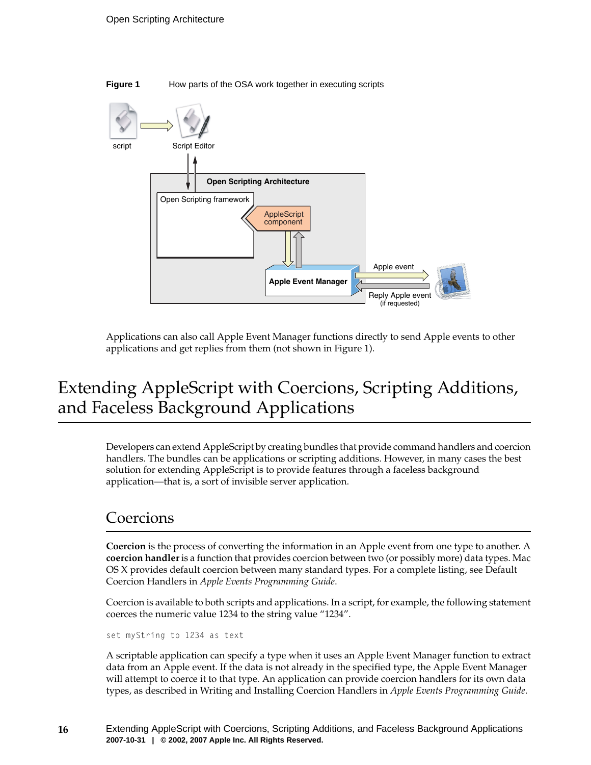

<span id="page-15-2"></span>**Figure 1** How parts of the OSA work together in executing scripts

Applications can also call Apple Event Manager functions directly to send Apple events to other applications and get replies from them (not shown in Figure 1).

# <span id="page-15-0"></span>Extending AppleScript with Coercions, Scripting Additions, and Faceless Background Applications

<span id="page-15-1"></span>Developers can extend AppleScript by creating bundles that provide command handlers and coercion handlers. The bundles can be applications or scripting additions. However, in many cases the best solution for extending AppleScript is to provide features through a faceless background application—that is, a sort of invisible server application.

#### Coercions

**Coercion** is the process of converting the information in an Apple event from one type to another. A **coercion handler** is a function that provides coercion between two (or possibly more) data types. Mac OS X provides default coercion between many standard types. For a complete listing, see Default Coercion Handlers in *Apple Events Programming Guide*.

Coercion is available to both scripts and applications. In a script, for example, the following statement coerces the numeric value 1234 to the string value "1234".

set myString to 1234 as text

A scriptable application can specify a type when it uses an Apple Event Manager function to extract data from an Apple event. If the data is not already in the specified type, the Apple Event Manager will attempt to coerce it to that type. An application can provide coercion handlers for its own data types, as described in Writing and Installing Coercion Handlers in *Apple Events Programming Guide*.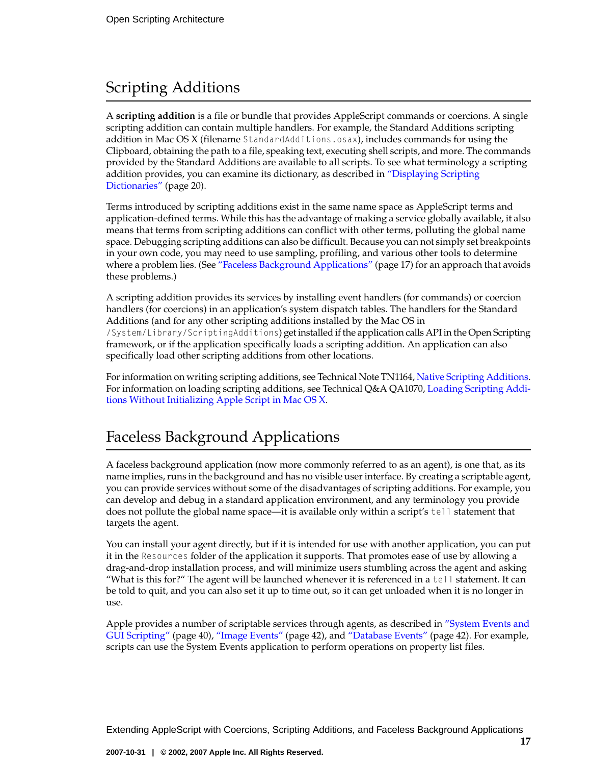## <span id="page-16-0"></span>Scripting Additions

A **scripting addition** is a file or bundle that provides AppleScript commands or coercions. A single scripting addition can contain multiple handlers. For example, the Standard Additions scripting addition in Mac OS X (filename StandardAdditions.osax), includes commands for using the Clipboard, obtaining the path to a file, speaking text, executing shell scripts, and more. The commands provided by the Standard Additions are available to all scripts. To see what terminology a scripting addition provides, you can examine its dictionary, as described in ["Displaying](#page-19-1) Scripting [Dictionaries"](#page-19-1) (page 20).

Terms introduced by scripting additions exist in the same name space as AppleScript terms and application-defined terms. While this has the advantage of making a service globally available, it also means that terms from scripting additions can conflict with other terms, polluting the global name space. Debugging scripting additions can also be difficult. Because you can not simply set breakpoints in your own code, you may need to use sampling, profiling, and various other tools to determine where a problem lies. (See "Faceless Background [Applications"](#page-16-1) (page 17) for an approach that avoids these problems.)

A scripting addition provides its services by installing event handlers (for commands) or coercion handlers (for coercions) in an application's system dispatch tables. The handlers for the Standard Additions (and for any other scripting additions installed by the Mac OS in /System/Library/ScriptingAdditions) get installed if the application calls API in the Open Scripting framework, or if the application specifically loads a scripting addition. An application can also specifically load other scripting additions from other locations.

<span id="page-16-1"></span>For information on writing scripting additions, see Technical Note TN1164, Native Scripting [Additions.](http://developer.apple.com/technotes/tn/tn1164.html) For information on loading scripting additions, see Technical Q&A QA1070, Loading [Scripting](http://developer.apple.com/qa/qa2001/qa1070.html) Additions Without [Initializing](http://developer.apple.com/qa/qa2001/qa1070.html) Apple Script in Mac OS X.

### Faceless Background Applications

A faceless background application (now more commonly referred to as an agent), is one that, as its name implies, runs in the background and has no visible user interface. By creating a scriptable agent, you can provide services without some of the disadvantages of scripting additions. For example, you can develop and debug in a standard application environment, and any terminology you provide does not pollute the global name space—it is available only within a script's  $t \in \mathbb{N}$  statement that targets the agent.

You can install your agent directly, but if it is intended for use with another application, you can put it in the Resources folder of the application it supports. That promotes ease of use by allowing a drag-and-drop installation process, and will minimize users stumbling across the agent and asking "What is this for?" The agent will be launched whenever it is referenced in a tell statement. It can be told to quit, and you can also set it up to time out, so it can get unloaded when it is no longer in use.

Apple provides a number of scriptable services through agents, as described in ["System](#page-39-1) Events and GUI [Scripting"](#page-39-1) (page 40), "Image [Events"](#page-41-0) (page 42), and ["Database](#page-41-1) Events" (page 42). For example, scripts can use the System Events application to perform operations on property list files.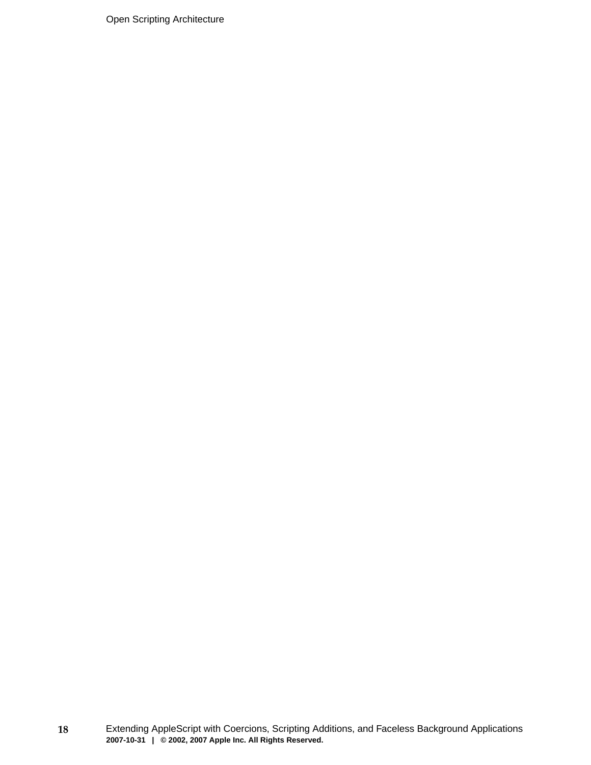Open Scripting Architecture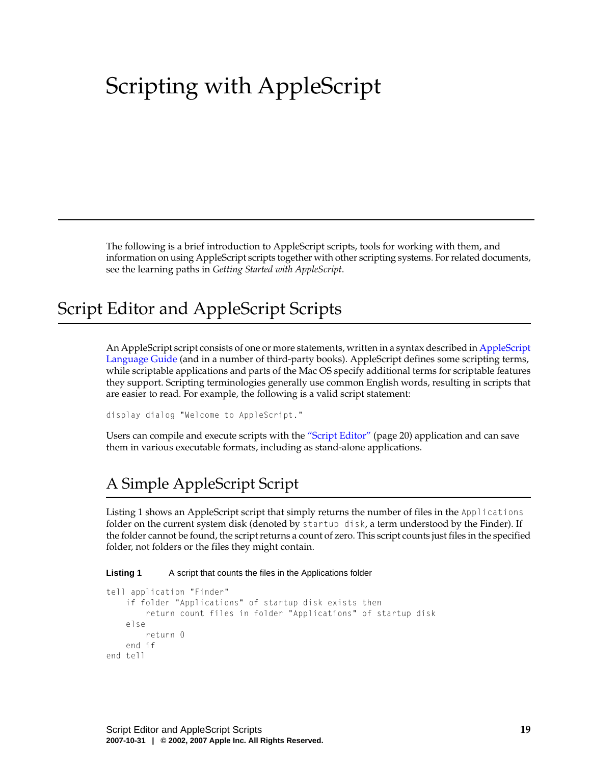# <span id="page-18-0"></span>Scripting with AppleScript

The following is a brief introduction to AppleScript scripts, tools for working with them, and information on using AppleScript scripts together with other scripting systems. For related documents, see the learning paths in *Getting Started with AppleScript*.

### <span id="page-18-1"></span>Script Editor and AppleScript Scripts

An [AppleScript](http://developer.apple.com/documentation/AppleScript/Conceptual/AppleScriptLangGuide/index.html) script consists of one or more statements, written in a syntax described in AppleScript [Language](http://developer.apple.com/documentation/AppleScript/Conceptual/AppleScriptLangGuide/index.html) Guide (and in a number of third-party books). AppleScript defines some scripting terms, while scriptable applications and parts of the Mac OS specify additional terms for scriptable features they support. Scripting terminologies generally use common English words, resulting in scripts that are easier to read. For example, the following is a valid script statement:

display dialog "Welcome to AppleScript."

<span id="page-18-2"></span>Users can compile and execute scripts with the "Script [Editor"](#page-19-0) (page 20) application and can save them in various executable formats, including as stand-alone applications.

#### A Simple AppleScript Script

<span id="page-18-3"></span>Listing 1 shows an AppleScript script that simply returns the number of files in the Applications folder on the current system disk (denoted by startup disk, a term understood by the Finder). If the folder cannot be found, the script returns a count of zero. This script counts just files in the specified folder, not folders or the files they might contain.

**Listing 1** A script that counts the files in the Applications folder

```
tell application "Finder"
   if folder "Applications" of startup disk exists then
       return count files in folder "Applications" of startup disk
   else
       return 0
   end if
end tell
```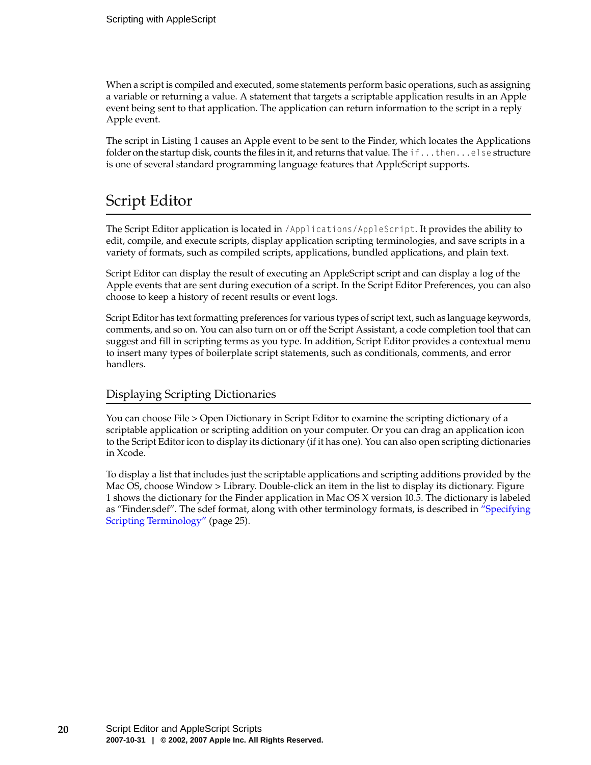When a script is compiled and executed, some statements perform basic operations, such as assigning a variable or returning a value. A statement that targets a scriptable application results in an Apple event being sent to that application. The application can return information to the script in a reply Apple event.

The script in Listing 1 causes an Apple event to be sent to the Finder, which locates the Applications folder on the startup disk, counts the files in it, and returns that value. The if...then...else structure is one of several standard programming language features that AppleScript supports.

#### <span id="page-19-0"></span>Script Editor

The Script Editor application is located in /Applications/AppleScript. It provides the ability to edit, compile, and execute scripts, display application scripting terminologies, and save scripts in a variety of formats, such as compiled scripts, applications, bundled applications, and plain text.

Script Editor can display the result of executing an AppleScript script and can display a log of the Apple events that are sent during execution of a script. In the Script Editor Preferences, you can also choose to keep a history of recent results or event logs.

<span id="page-19-1"></span>Script Editor has text formatting preferences for various types of script text, such as language keywords, comments, and so on. You can also turn on or off the Script Assistant, a code completion tool that can suggest and fill in scripting terms as you type. In addition, Script Editor provides a contextual menu to insert many types of boilerplate script statements, such as conditionals, comments, and error handlers.

#### Displaying Scripting Dictionaries

You can choose File > Open Dictionary in Script Editor to examine the scripting dictionary of a scriptable application or scripting addition on your computer. Or you can drag an application icon to the Script Editoricon to display its dictionary (if it has one). You can also open scripting dictionaries in Xcode.

To display a list that includes just the scriptable applications and scripting additions provided by the Mac OS, choose Window > Library. Double-click an item in the list to display its dictionary. Figure 1 shows the dictionary for the Finder application in Mac OS X version 10.5. The dictionary is labeled as "Finder.sdef". The sdef format, along with other terminology formats, is described in ["Specifying](#page-24-1) Scripting [Terminology"](#page-24-1) (page 25).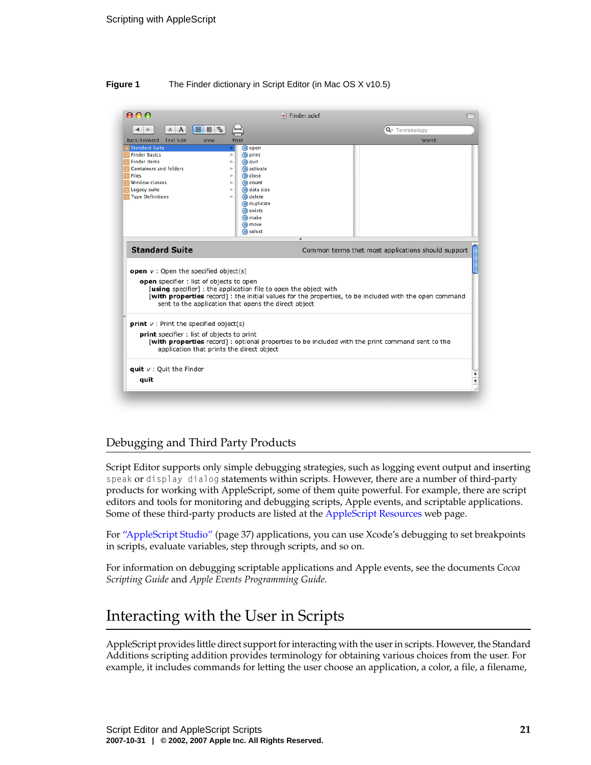|                                                                                                                                                                 | $\bullet$ Finder sdef                                                                                                                                                                             |                                                                                                       |
|-----------------------------------------------------------------------------------------------------------------------------------------------------------------|---------------------------------------------------------------------------------------------------------------------------------------------------------------------------------------------------|-------------------------------------------------------------------------------------------------------|
| 昌<br>$\mathsf{A}$<br>A                                                                                                                                          | ■ 是                                                                                                                                                                                               | Q- Terminology                                                                                        |
| <b>Text Size</b><br>Back/Forward                                                                                                                                | View<br>Print                                                                                                                                                                                     | Search                                                                                                |
| <b>Standard Suite</b><br><b>Finder Basics</b><br>Finder items<br>Containers and folders<br>Files<br>Window classes<br>Legacy suite<br><b>S</b> Type Definitions | open)<br><b>O</b> print<br>Þ<br><b>Q</b> quit<br>Þ<br>activate<br>Þ<br>C close<br>Þ<br>count<br>þ-<br>data size<br>b.<br>c delete<br>b.<br>duplicate<br>cexists<br><b>O</b> make<br><b>C</b> move |                                                                                                       |
| <b>Standard Suite</b>                                                                                                                                           | select                                                                                                                                                                                            | ۰<br>Common terms that most applications should support                                               |
|                                                                                                                                                                 |                                                                                                                                                                                                   |                                                                                                       |
| <b>open</b> $v:$ Open the specified object(s)<br>open specifier : list of objects to open                                                                       | [using specifier] : the application file to open the object with<br>sent to the application that opens the direct object                                                                          | [with properties record]: the initial values for the properties, to be included with the open command |
| <b>print</b> $v$ : Print the specified object(s)                                                                                                                |                                                                                                                                                                                                   |                                                                                                       |
| <b>print</b> specifier: list of objects to print                                                                                                                | application that prints the direct object                                                                                                                                                         | [with properties record] : optional properties to be included with the print command sent to the      |
| quit $v:$ Quit the Finder                                                                                                                                       |                                                                                                                                                                                                   |                                                                                                       |

#### <span id="page-20-1"></span>**Figure 1** The Finder dictionary in Script Editor (in Mac OS X v10.5)

#### Debugging and Third Party Products

Script Editor supports only simple debugging strategies, such as logging event output and inserting speak or display dialog statements within scripts. However, there are a number of third-party products for working with AppleScript, some of them quite powerful. For example, there are script editors and tools for monitoring and debugging scripts, Apple events, and scriptable applications. Some of these third-party products are listed at the [AppleScript](http://www.apple.com/applescript/resources.html) Resources web page.

For ["AppleScript](#page-36-0) Studio" (page 37) applications, you can use Xcode's debugging to set breakpoints in scripts, evaluate variables, step through scripts, and so on.

<span id="page-20-0"></span>For information on debugging scriptable applications and Apple events, see the documents *Cocoa Scripting Guide* and *Apple Events Programming Guide*.

#### Interacting with the User in Scripts

AppleScript provides little direct support for interacting with the user in scripts. However, the Standard Additions scripting addition provides terminology for obtaining various choices from the user. For example, it includes commands for letting the user choose an application, a color, a file, a filename,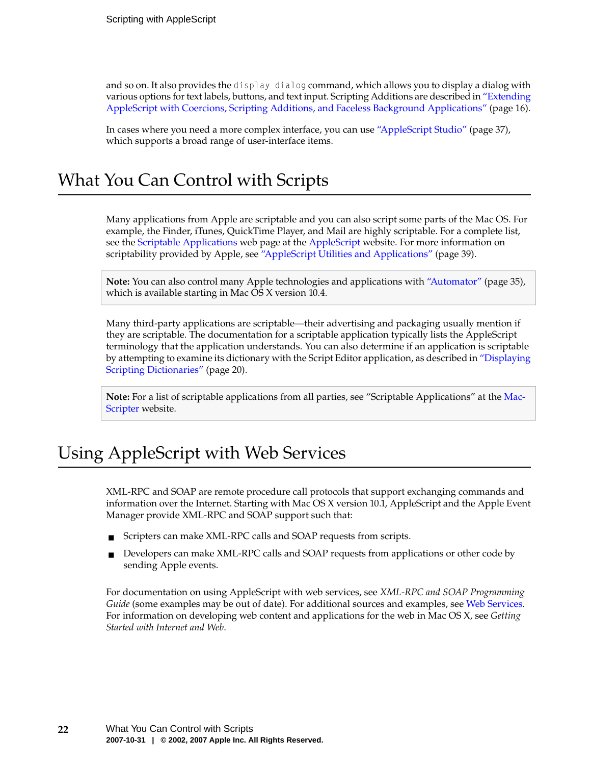and so on. It also provides the display dialog command, which allows you to display a dialog with various options for text labels, buttons, and text input. Scripting Additions are described in ["Extending](#page-15-0)" AppleScript with Coercions, Scripting Additions, and Faceless Background [Applications"](#page-15-0) (page 16).

In cases where you need a more complex interface, you can use ["AppleScript](#page-36-0) Studio" (page 37), which supports a broad range of user-interface items.

# <span id="page-21-0"></span>What You Can Control with Scripts

Many applications from Apple are scriptable and you can also script some parts of the Mac OS. For example, the Finder, iTunes, QuickTime Player, and Mail are highly scriptable. For a complete list, see the Scriptable [Applications](http://www.apple.com/applescript/resources.html) web page at the [AppleScript](http://www.apple.com/applescript/) website. For more information on scriptability provided by Apple, see "AppleScript Utilities and [Applications"](#page-38-0) (page 39).

**Note:** You can also control many Apple technologies and applications with ["Automator"](#page-34-0) (page 35), which is available starting in Mac OS X version 10.4.

Many third-party applications are scriptable—their advertising and packaging usually mention if they are scriptable. The documentation for a scriptable application typically lists the AppleScript terminology that the application understands. You can also determine if an application is scriptable by attempting to examine its dictionary with the Script Editor application, as described in ["Displaying](#page-19-1) Scripting [Dictionaries"](#page-19-1) (page 20).

**Note:** For a list of scriptable applications from all parties, see "Scriptable Applications" at the [Mac-](http://macscripter.net/)[Scripter](http://macscripter.net/) website.

# <span id="page-21-1"></span>Using AppleScript with Web Services

XML-RPC and SOAP are remote procedure call protocols that support exchanging commands and information over the Internet. Starting with Mac OS X version 10.1, AppleScript and the Apple Event Manager provide XML-RPC and SOAP support such that:

- Scripters can make XML-RPC calls and SOAP requests from scripts.
- Developers can make XML-RPC calls and SOAP requests from applications or other code by sending Apple events.

For documentation on using AppleScript with web services, see *XML-RPC and SOAP Programming Guide* (some examples may be out of date). For additional sources and examples, see Web [Services.](http://www.apple.com/applescript/resources.html) For information on developing web content and applications for the web in Mac OS X, see *Getting Started with Internet and Web*.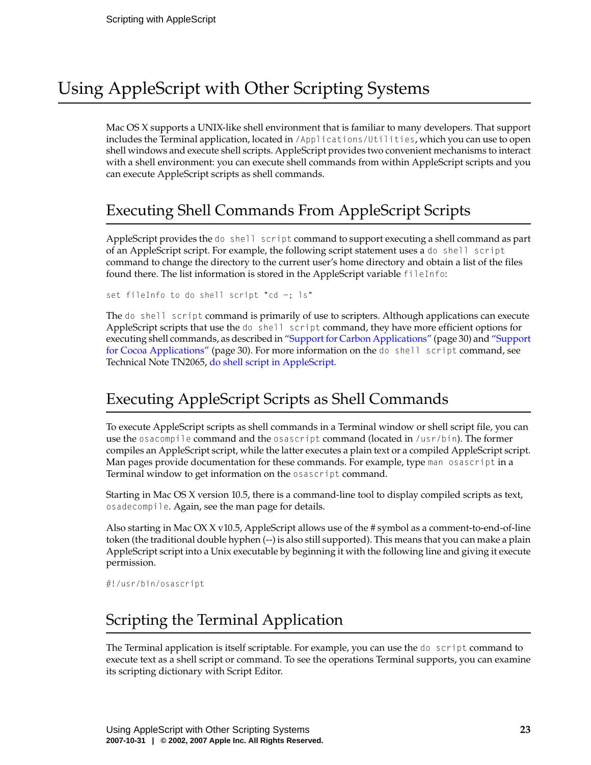# <span id="page-22-0"></span>Using AppleScript with Other Scripting Systems

Mac OS X supports a UNIX-like shell environment that is familiar to many developers. That support includes the Terminal application, located in /Applications/Utilities,which you can use to open shell windows and execute shell scripts. AppleScript provides two convenient mechanisms to interact with a shell environment: you can execute shell commands from within AppleScript scripts and you can execute AppleScript scripts as shell commands.

### <span id="page-22-1"></span>Executing Shell Commands From AppleScript Scripts

AppleScript provides the do shell script command to support executing a shell command as part of an AppleScript script. For example, the following script statement uses a do shell script command to change the directory to the current user's home directory and obtain a list of the files found there. The list information is stored in the AppleScript variable fileInfo:

set fileInfo to do shell script "cd  $\sim$ ; ls"

The do shell script command is primarily of use to scripters. Although applications can execute AppleScript scripts that use the do shell script command, they have more efficient options for executing shell commands, as described in "Support for Carbon [Applications"](#page-29-0) (page 30) and ["Support](#page-29-1) for Cocoa [Applications"](#page-29-1) (page 30). For more information on the do shell script command, see Technical Note TN2065, do shell script in [AppleScript](http://developer.apple.com/technotes/tn2002/tn2065.html).

### <span id="page-22-2"></span>Executing AppleScript Scripts as Shell Commands

To execute AppleScript scripts as shell commands in a Terminal window or shell script file, you can use the osacompile command and the osascript command (located in /usr/bin). The former compiles an AppleScript script,while the latter executes a plain text or a compiled AppleScript script. Man pages provide documentation for these commands. For example, type man osascript in a Terminal window to get information on the osascript command.

Starting in Mac OS X version 10.5, there is a command-line tool to display compiled scripts as text, osadecompile. Again, see the man page for details.

<span id="page-22-3"></span>Also starting in Mac OX X v10.5, AppleScript allows use of the # symbol as a comment-to-end-of-line token (the traditional double hyphen (--) is also still supported). This means that you can make a plain AppleScript script into a Unix executable by beginning it with the following line and giving it execute permission.

#!/usr/bin/osascript

# Scripting the Terminal Application

The Terminal application is itself scriptable. For example, you can use the do script command to execute text as a shell script or command. To see the operations Terminal supports, you can examine its scripting dictionary with Script Editor.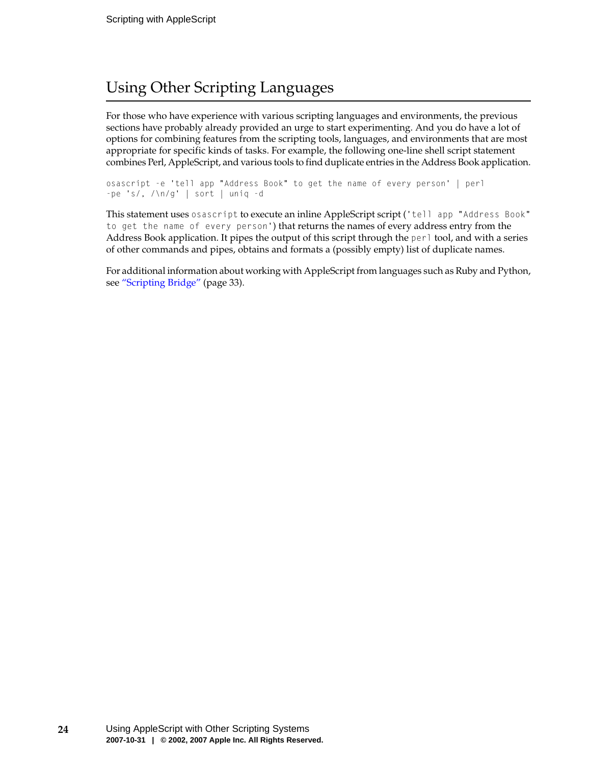#### <span id="page-23-0"></span>Using Other Scripting Languages

For those who have experience with various scripting languages and environments, the previous sections have probably already provided an urge to start experimenting. And you do have a lot of options for combining features from the scripting tools, languages, and environments that are most appropriate for specific kinds of tasks. For example, the following one-line shell script statement combines Perl, AppleScript, and various tools to find duplicate entries in the Address Bookapplication.

osascript -e 'tell app "Address Book" to get the name of every person' | perl -pe 's/, /\n/g' | sort | uniq -d

This statement uses osascript to execute an inline AppleScript script ('tell app "Address Book" to get the name of every person') that returns the names of every address entry from the Address Book application. It pipes the output of this script through the perl tool, and with a series of other commands and pipes, obtains and formats a (possibly empty) list of duplicate names.

For additional information about working with AppleScript from languages such as Ruby and Python, see ["Scripting](#page-32-0) Bridge" (page 33).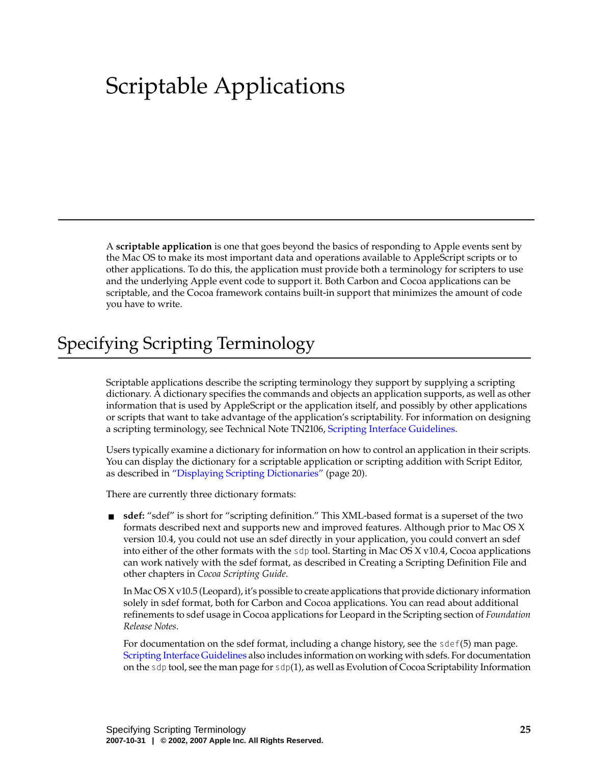# <span id="page-24-0"></span>Scriptable Applications

A **scriptable application** is one that goes beyond the basics of responding to Apple events sent by the Mac OS to make its most important data and operations available to AppleScript scripts or to other applications. To do this, the application must provide both a terminology for scripters to use and the underlying Apple event code to support it. Both Carbon and Cocoa applications can be scriptable, and the Cocoa framework contains built-in support that minimizes the amount of code you have to write.

## <span id="page-24-1"></span>Specifying Scripting Terminology

Scriptable applications describe the scripting terminology they support by supplying a scripting dictionary. A dictionary specifies the commands and objects an application supports, as well as other information that is used by AppleScript or the application itself, and possibly by other applications or scripts that want to take advantage of the application's scriptability. For information on designing a scripting terminology, see Technical Note TN2106, Scripting Interface [Guidelines.](http://developer.apple.com/technotes/tn2002/tn2106.html)

Users typically examine a dictionary for information on how to control an application in their scripts. You can display the dictionary for a scriptable application or scripting addition with Script Editor, as described in "Displaying Scripting [Dictionaries"](#page-19-1) (page 20).

There are currently three dictionary formats:

■ **sdef:** "sdef" is short for "scripting definition." This XML-based format is a superset of the two formats described next and supports new and improved features. Although prior to Mac OS X version 10.4, you could not use an sdef directly in your application, you could convert an sdef into either of the other formats with the sdp tool. Starting in Mac OS X v10.4, Cocoa applications can work natively with the sdef format, as described in Creating a Scripting Definition File and other chapters in *Cocoa Scripting Guide*.

In Mac OS X v10.5 (Leopard), it's possible to create applications that provide dictionaryinformation solely in sdef format, both for Carbon and Cocoa applications. You can read about additional refinements to sdef usage in Cocoa applications for Leopard in the Scripting section of Foundation *Release Notes*.

For documentation on the sdef format, including a change history, see the sdef(5) man page. Scripting Interface Guidelines also includes information on working with sdefs. For documentation on the sdp tool, see the man page for  $sdp(1)$ , as well as Evolution of Cocoa Scriptability Information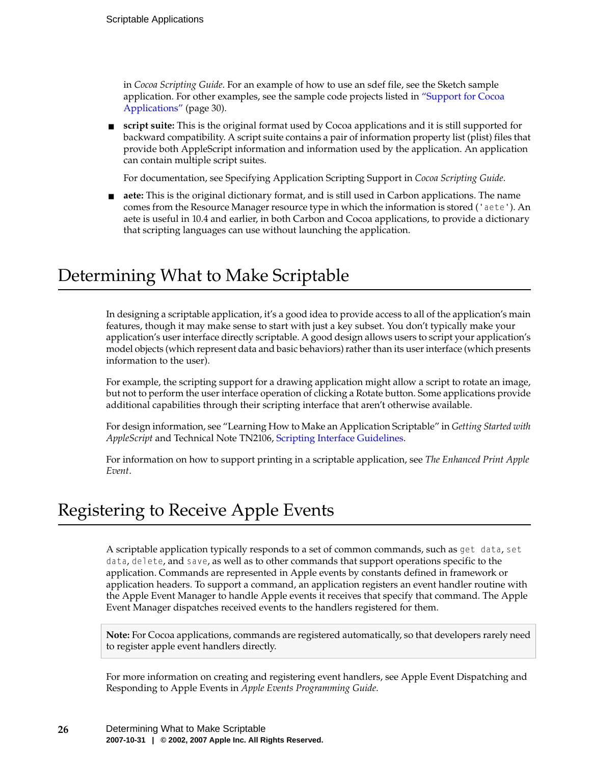in *Cocoa Scripting Guide*. For an example of how to use an sdef file, see the Sketch sample application. For other examples, see the sample code projects listed in ["Support](#page-29-1) for Cocoa [Applications"](#page-29-1) (page 30).

■ **script suite:** This is the original format used by Cocoa applications and it is still supported for backward compatibility. A script suite contains a pair of information property list (plist) files that provide both AppleScript information and information used by the application. An application can contain multiple script suites.

For documentation, see Specifying Application Scripting Support in *Cocoa Scripting Guide*.

**aete:** This is the original dictionary format, and is still used in Carbon applications. The name comes from the Resource Manager resource type in which the information is stored ('aete'). An aete is useful in 10.4 and earlier, in both Carbon and Cocoa applications, to provide a dictionary that scripting languages can use without launching the application.

## <span id="page-25-0"></span>Determining What to Make Scriptable

In designing a scriptable application, it's a good idea to provide access to all of the application's main features, though it may make sense to start with just a key subset. You don't typically make your application's user interface directly scriptable. A good design allows users to script your application's model objects (which represent data and basic behaviors) rather than its user interface (which presents information to the user).

For example, the scripting support for a drawing application might allow a script to rotate an image, but not to perform the user interface operation of clicking a Rotate button. Some applications provide additional capabilities through their scripting interface that aren't otherwise available.

For design information, see "Learning How to Make an Application Scriptable" in *Getting Started with AppleScript* and Technical Note TN2106, Scripting Interface [Guidelines](http://developer.apple.com/technotes/tn2002/tn2106.html).

For information on how to support printing in a scriptable application, see *The Enhanced Print Apple Event*.

# <span id="page-25-1"></span>Registering to Receive Apple Events

A scriptable application typically responds to a set of common commands, such as get data, set data, delete, and save, as well as to other commands that support operations specific to the application. Commands are represented in Apple events by constants defined in framework or application headers. To support a command, an application registers an event handler routine with the Apple Event Manager to handle Apple events it receives that specify that command. The Apple Event Manager dispatches received events to the handlers registered for them.

**Note:** For Cocoa applications, commands are registered automatically, so that developers rarely need to register apple event handlers directly.

For more information on creating and registering event handlers, see Apple Event Dispatching and Responding to Apple Events in *Apple Events Programming Guide*.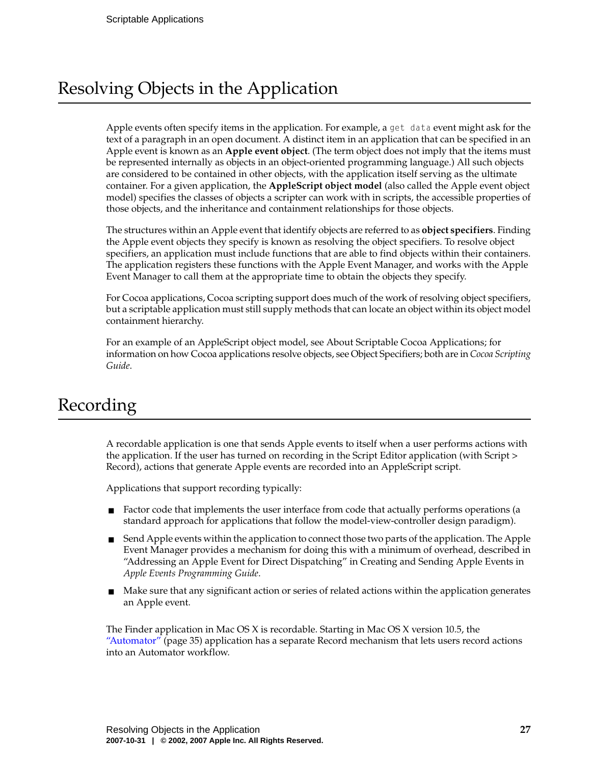# <span id="page-26-0"></span>Resolving Objects in the Application

Apple events often specify items in the application. For example, a get data event might ask for the text of a paragraph in an open document. A distinct item in an application that can be specified in an Apple event is known as an **Apple event object**. (The term object does not imply that the items must be represented internally as objects in an object-oriented programming language.) All such objects are considered to be contained in other objects, with the application itself serving as the ultimate container. For a given application, the **AppleScript object model** (also called the Apple event object model) specifies the classes of objects a scripter can work with in scripts, the accessible properties of those objects, and the inheritance and containment relationships for those objects.

The structures within an Apple event that identify objects are referred to as **object specifiers**. Finding the Apple event objects they specify is known as resolving the object specifiers. To resolve object specifiers, an application must include functions that are able to find objects within their containers. The application registers these functions with the Apple Event Manager, and works with the Apple Event Manager to call them at the appropriate time to obtain the objects they specify.

For Cocoa applications, Cocoa scripting support does much of the work of resolving object specifiers, but a scriptable application must still supply methods that can locate an objectwithin its object model containment hierarchy.

For an example of an AppleScript object model, see About Scriptable Cocoa Applications; for information on how Cocoa applications resolve objects, see Object Specifiers; both are in *Cocoa Scripting Guide*.

### <span id="page-26-1"></span>Recording

A recordable application is one that sends Apple events to itself when a user performs actions with the application. If the user has turned on recording in the Script Editor application (with Script > Record), actions that generate Apple events are recorded into an AppleScript script.

Applications that support recording typically:

- Factor code that implements the user interface from code that actually performs operations (a standard approach for applications that follow the model-view-controller design paradigm).
- Send Apple events within the application to connect those two parts of the application. The Apple Event Manager provides a mechanism for doing this with a minimum of overhead, described in "Addressing an Apple Event for Direct Dispatching" in Creating and Sending Apple Events in *Apple Events Programming Guide*.
- Make sure that any significant action or series of related actions within the application generates an Apple event.

The Finder application in Mac OS X is recordable. Starting in Mac OS X version 10.5, the ["Automator"](#page-34-0) (page 35) application has a separate Record mechanism that lets users record actions into an Automator workflow.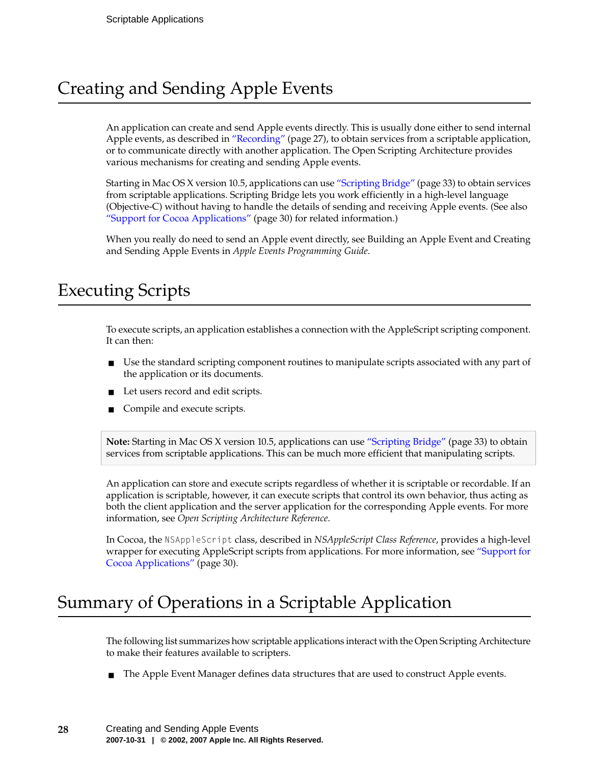# <span id="page-27-0"></span>Creating and Sending Apple Events

An application can create and send Apple events directly. This is usually done either to send internal Apple events, as described in ["Recording"](#page-26-1) (page 27), to obtain services from a scriptable application, or to communicate directly with another application. The Open Scripting Architecture provides various mechanisms for creating and sending Apple events.

Starting in Mac OS X version 10.5, applications can use ["Scripting](#page-32-0) Bridge" (page 33) to obtain services from scriptable applications. Scripting Bridge lets you work efficiently in a high-level language (Objective-C) without having to handle the details of sending and receiving Apple events. (See also "Support for Cocoa [Applications"](#page-29-1) (page 30) for related information.)

When you really do need to send an Apple event directly, see Building an Apple Event and Creating and Sending Apple Events in *Apple Events Programming Guide*.

## <span id="page-27-1"></span>Executing Scripts

To execute scripts, an application establishes a connection with the AppleScript scripting component. It can then:

- Use the standard scripting component routines to manipulate scripts associated with any part of the application or its documents.
- Let users record and edit scripts.
- Compile and execute scripts.

**Note:** Starting in Mac OS X version 10.5, applications can use ["Scripting](#page-32-0) Bridge" (page 33) to obtain services from scriptable applications. This can be much more efficient that manipulating scripts.

An application can store and execute scripts regardless of whether it is scriptable or recordable. If an application is scriptable, however, it can execute scripts that control its own behavior, thus acting as both the client application and the server application for the corresponding Apple events. For more information, see *Open Scripting Architecture Reference*.

<span id="page-27-2"></span>In Cocoa, the NSAppleScript class, described in *NSAppleScript Class Reference*, provides a high-level wrapper for executing AppleScript scripts from applications. For more information, see ["Support](#page-29-1) for Cocoa [Applications"](#page-29-1) (page 30).

# Summary of Operations in a Scriptable Application

The following list summarizes how scriptable applications interact with the Open Scripting Architecture to make their features available to scripters.

The Apple Event Manager defines data structures that are used to construct Apple events.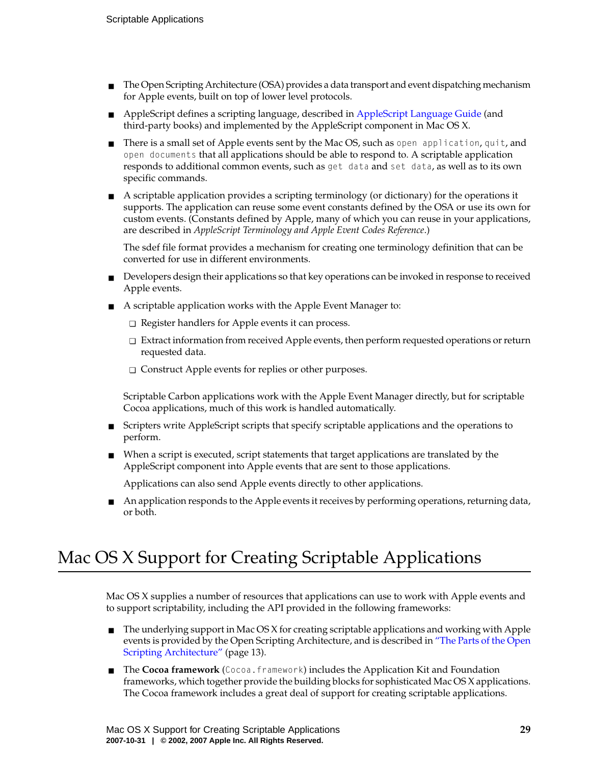- The Open Scripting Architecture (OSA) provides a data transport and event dispatching mechanism for Apple events, built on top of lower level protocols.
- [AppleScript](http://developer.apple.com/documentation/AppleScript/Conceptual/AppleScriptLangGuide/index.html) defines a scripting language, described in AppleScript Language Guide (and third-party books) and implemented by the AppleScript component in Mac OS X.
- There is a small set of Apple events sent by the Mac OS, such as open application, quit, and open documents that all applications should be able to respond to. A scriptable application responds to additional common events, such as get data and set data, as well as to its own specific commands.
- A scriptable application provides a scripting terminology (or dictionary) for the operations it supports. The application can reuse some event constants defined by the OSA or use its own for custom events. (Constants defined by Apple, many of which you can reuse in your applications, are described in *AppleScript Terminology and Apple Event Codes Reference*.)

The sdef file format provides a mechanism for creating one terminology definition that can be converted for use in different environments.

- Developers design their applications so that key operations can be invoked in response to received Apple events.
- A scriptable application works with the Apple Event Manager to:
	- ❏ Register handlers for Apple events it can process.
	- ❏ Extract information from received Apple events, then perform requested operations orreturn requested data.
	- ❏ Construct Apple events for replies or other purposes.

Scriptable Carbon applications work with the Apple Event Manager directly, but for scriptable Cocoa applications, much of this work is handled automatically.

- Scripters write AppleScript scripts that specify scriptable applications and the operations to perform.
- When a script is executed, script statements that target applications are translated by the AppleScript component into Apple events that are sent to those applications.

Applications can also send Apple events directly to other applications.

An application responds to the Apple events it receives by performing operations, returning data, or both.

# <span id="page-28-0"></span>Mac OS X Support for Creating Scriptable Applications

Mac OS X supplies a number of resources that applications can use to work with Apple events and to support scriptability, including the API provided in the following frameworks:

- The underlying support in Mac  $\overline{OS}X$  for creating scriptable applications and working with Apple events is provided by the [Open](#page-12-1) Scripting Architecture, and is described in "The Parts of the Open Scripting [Architecture"](#page-12-1) (page 13).
- **The Cocoa framework** (Cocoa.framework) includes the Application Kit and Foundation frameworks, which together provide the building blocks for sophisticated Mac OS X applications. The Cocoa framework includes a great deal of support for creating scriptable applications.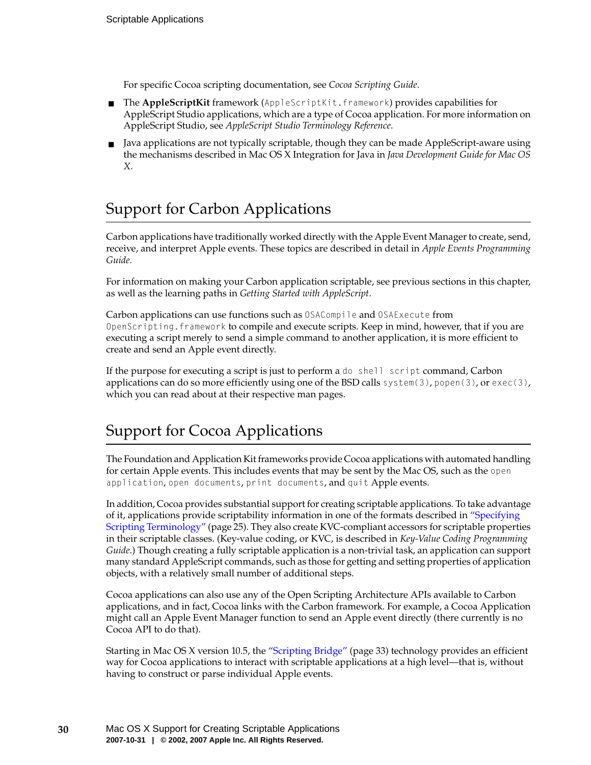For specific Cocoa scripting documentation, see *Cocoa Scripting Guide*.

- The **AppleScriptKit** framework (AppleScriptKit.framework) provides capabilities for AppleScript Studio applications, which are a type of Cocoa application. For more information on AppleScript Studio, see *AppleScript Studio Terminology Reference*.
- Java applications are not typically scriptable, though they can be made AppleScript-aware using the mechanisms described in Mac OS X Integration for Java in *Java Development Guide for Mac OS X*.

#### <span id="page-29-0"></span>Support for Carbon Applications

Carbon applications have traditionally worked directly with the Apple Event Manager to create, send, receive, and interpret Apple events. These topics are described in detail in *Apple Events Programming Guide*.

For information on making your Carbon application scriptable, see previous sections in this chapter, as well as the learning paths in *Getting Started with AppleScript*.

Carbon applications can use functions such as OSACompile and OSAExecute from OpenScripting.framework to compile and execute scripts. Keep in mind, however, that if you are executing a script merely to send a simple command to another application, it is more efficient to create and send an Apple event directly.

<span id="page-29-1"></span>If the purpose for executing a script is just to perform a do shell script command, Carbon applications can do so more efficiently using one of the BSD calls system(3), popen(3), or exec(3), which you can read about at their respective man pages.

#### Support for Cocoa Applications

The Foundation and Application Kit frameworks provide Cocoa applications with automated handling for certain Apple events. This includes events that may be sent by the Mac OS, such as the open application, open documents, print documents, and quit Apple events.

In addition, Cocoa provides substantial support for creating scriptable applications. To take advantage of it, applications provide scriptability information in one of the formats described in ["Specifying](#page-24-1) Scripting [Terminology"](#page-24-1) (page 25). They also create KVC-compliant accessors for scriptable properties in their scriptable classes. (Key-value coding, or KVC, is described in *Key-Value Coding Programming Guide*.) Though creating a fully scriptable application is a non-trivial task, an application can support manystandard AppleScript commands, such as those forgettingand setting properties of application objects, with a relatively small number of additional steps.

Cocoa applications can also use any of the Open Scripting Architecture APIs available to Carbon applications, and in fact, Cocoa links with the Carbon framework. For example, a Cocoa Application might call an Apple Event Manager function to send an Apple event directly (there currently is no Cocoa API to do that).

Starting in Mac OS X version 10.5, the ["Scripting](#page-32-0) Bridge" (page 33) technology provides an efficient way for Cocoa applications to interact with scriptable applications at a high level—that is, without having to construct or parse individual Apple events.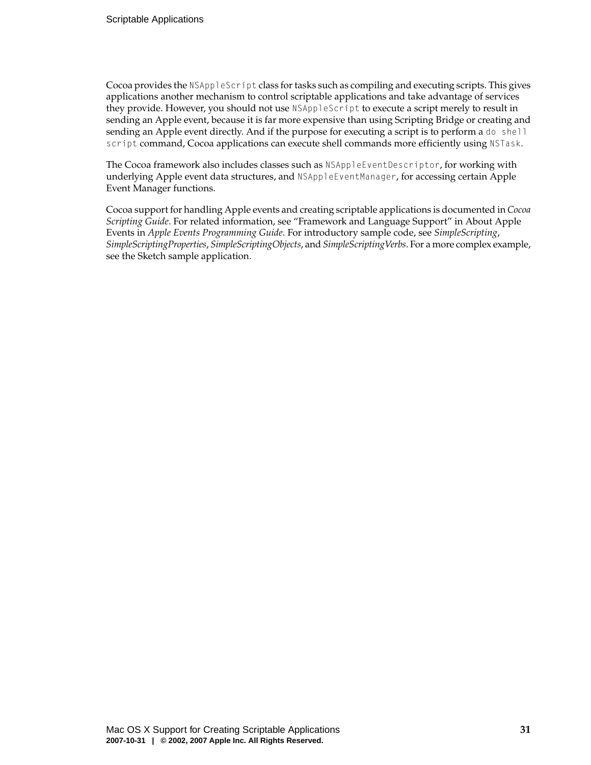Cocoa provides the NSAppleScript class for tasks such as compiling and executing scripts. This gives applications another mechanism to control scriptable applications and take advantage of services they provide. However, you should not use NSAppleScript to execute a script merely to result in sending an Apple event, because it is far more expensive than using Scripting Bridge or creating and sending an Apple event directly. And if the purpose for executing a script is to perform a do shell script command, Cocoa applications can execute shell commands more efficiently using NSTask.

The Cocoa framework also includes classes such as NSAppleEventDescriptor, for working with underlying Apple event data structures, and NSAppleEventManager, for accessing certain Apple Event Manager functions.

Cocoa support for handling Apple events and creatingscriptable applications is documented in *Cocoa Scripting Guide*. For related information, see "Framework and Language Support" in About Apple Events in *Apple Events Programming Guide*. For introductory sample code, see *SimpleScripting*, *SimpleScriptingProperties*,*SimpleScriptingObjects*, and *SimpleScriptingVerbs*.For a more complex example, see the Sketch sample application.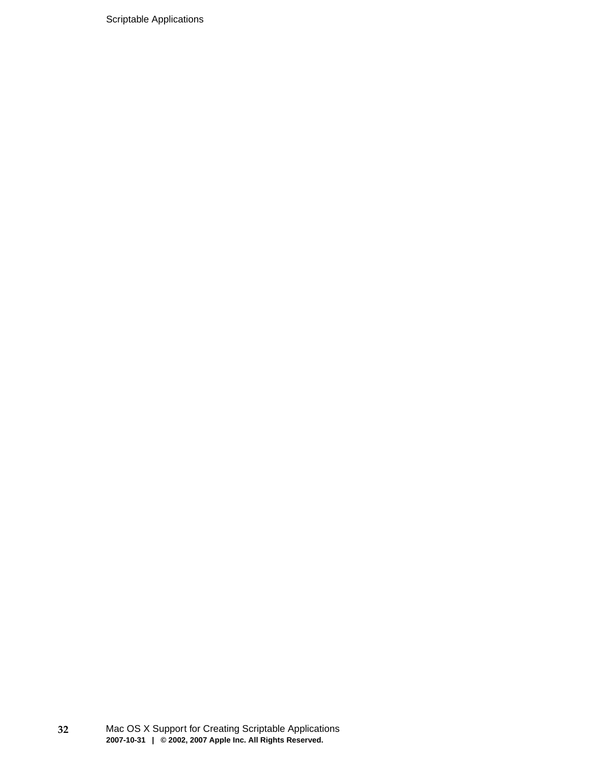Scriptable Applications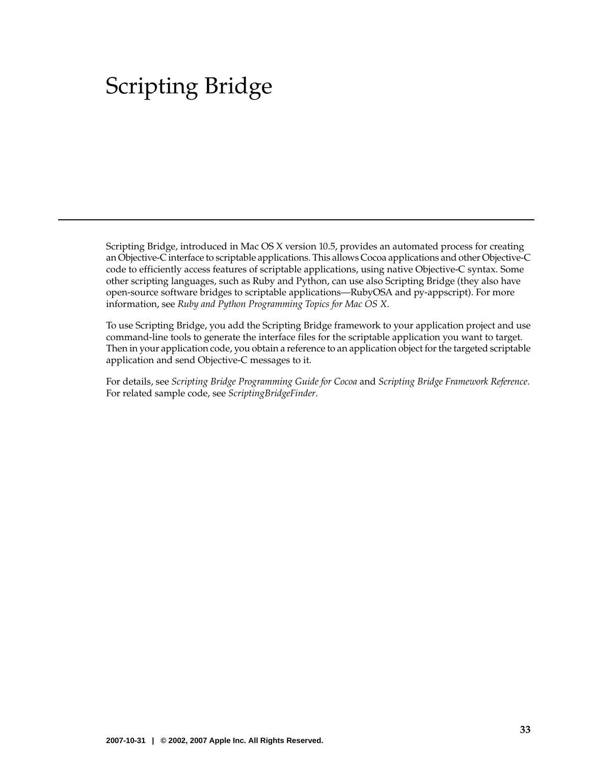# <span id="page-32-0"></span>Scripting Bridge

Scripting Bridge, introduced in Mac OS X version 10.5, provides an automated process for creating an Objective-C interface to scriptable applications. This allows Cocoa applications and other Objective-C code to efficiently access features of scriptable applications, using native Objective-C syntax. Some other scripting languages, such as Ruby and Python, can use also Scripting Bridge (they also have open-source software bridges to scriptable applications—RubyOSA and py-appscript). For more information, see *Ruby and Python Programming Topics for Mac OS X*.

To use Scripting Bridge, you add the Scripting Bridge framework to your application project and use command-line tools to generate the interface files for the scriptable application you want to target. Then in your application code, you obtain a reference to an application object for the targeted scriptable application and send Objective-C messages to it.

For details, see *Scripting Bridge Programming Guide for Cocoa* and *Scripting Bridge Framework Reference*. For related sample code, see *ScriptingBridgeFinder*.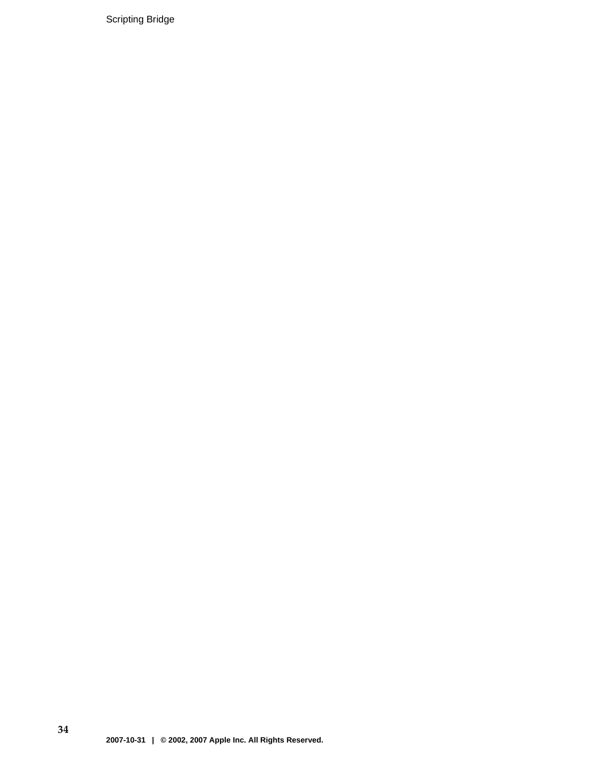Scripting Bridge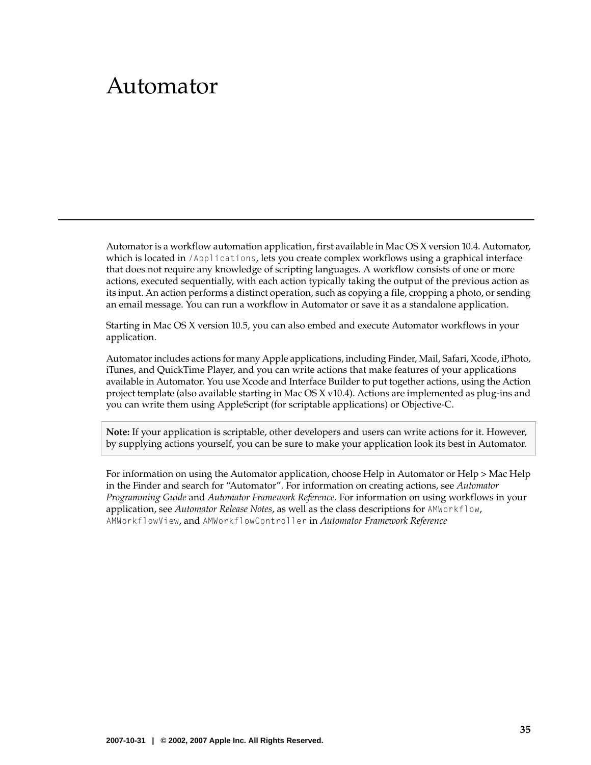# <span id="page-34-0"></span>Automator

Automator is a workflow automation application, first available in Mac OS X version 10.4. Automator, which is located in /Applications, lets you create complex workflows using a graphical interface that does not require any knowledge of scripting languages. A workflow consists of one or more actions, executed sequentially, with each action typically taking the output of the previous action as its input. An action performs a distinct operation, such as copyinga file, croppinga photo, or sending an email message. You can run a workflow in Automator or save it as a standalone application.

Starting in Mac OS X version 10.5, you can also embed and execute Automator workflows in your application.

Automator includes actions for many Apple applications, including Finder, Mail, Safari, Xcode, iPhoto, iTunes, and QuickTime Player, and you can write actions that make features of your applications available in Automator. You use Xcode and Interface Builder to put together actions, using the Action project template (also available starting in Mac OS X v10.4). Actions are implemented as plug-ins and you can write them using AppleScript (for scriptable applications) or Objective-C.

**Note:** If your application is scriptable, other developers and users can write actions for it. However, by supplying actions yourself, you can be sure to make your application look its best in Automator.

For information on using the Automator application, choose Help in Automator or Help > Mac Help in the Finder and search for "Automator". For information on creating actions, see *Automator Programming Guide* and *Automator Framework Reference*. For information on using workflows in your application, see *Automator Release Notes*, as well as the class descriptions for AMWorkflow, AMWorkflowView, and AMWorkflowController in *Automator Framework Reference*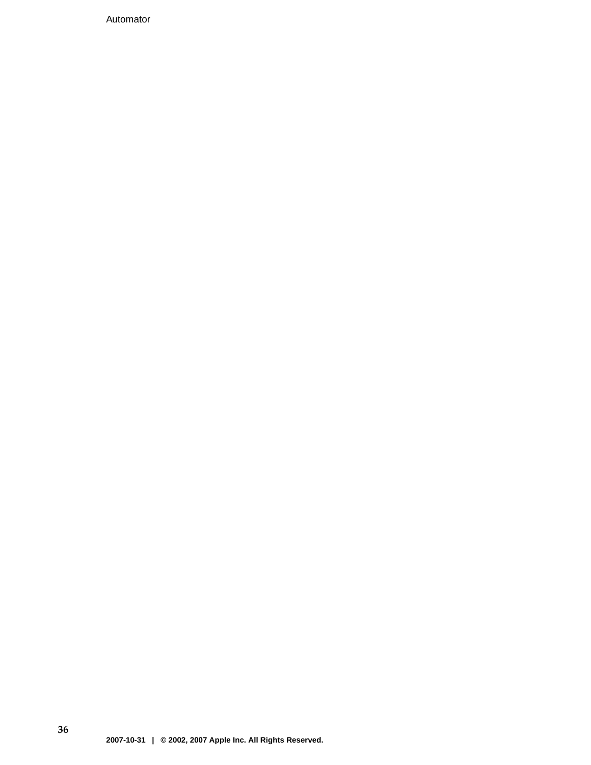Automator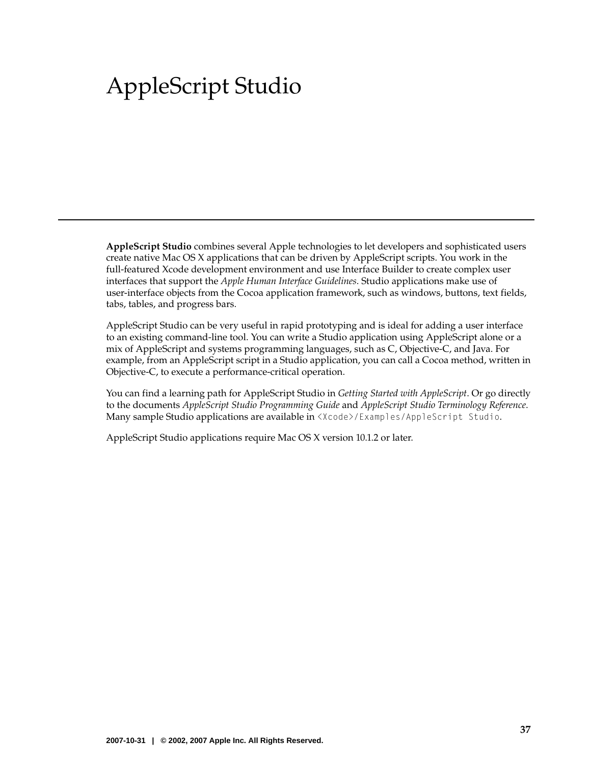# <span id="page-36-0"></span>AppleScript Studio

**AppleScript Studio** combines several Apple technologies to let developers and sophisticated users create native Mac OS X applications that can be driven by AppleScript scripts. You work in the full-featured Xcode development environment and use Interface Builder to create complex user interfaces that support the *Apple Human Interface Guidelines*. Studio applications make use of user-interface objects from the Cocoa application framework, such as windows, buttons, text fields, tabs, tables, and progress bars.

AppleScript Studio can be very useful in rapid prototyping and is ideal for adding a user interface to an existing command-line tool. You can write a Studio application using AppleScript alone or a mix of AppleScript and systems programming languages, such as C, Objective-C, and Java. For example, from an AppleScript script in a Studio application, you can call a Cocoa method, written in Objective-C, to execute a performance-critical operation.

You can find a learning path for AppleScript Studio in *Getting Started with AppleScript*. Or go directly to the documents *AppleScript Studio Programming Guide* and *AppleScript Studio Terminology Reference*. Many sample Studio applications are available in <Xcode>/Examples/AppleScript Studio.

AppleScript Studio applications require Mac OS X version 10.1.2 or later.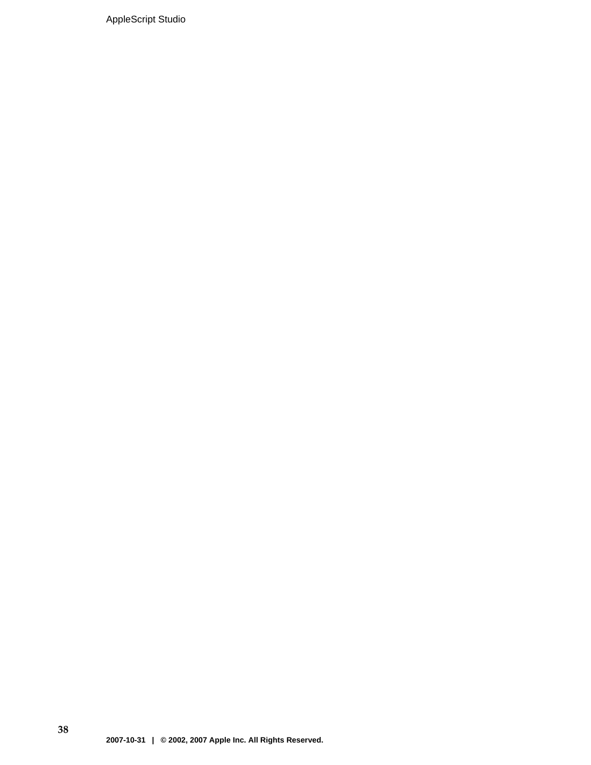AppleScript Studio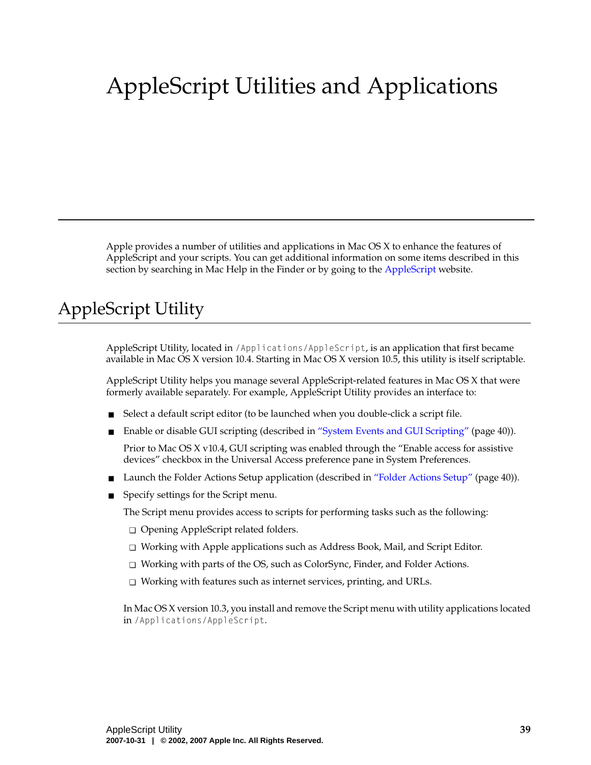# <span id="page-38-0"></span>AppleScript Utilities and Applications

Apple provides a number of utilities and applications in Mac OS X to enhance the features of AppleScript and your scripts. You can get additional information on some items described in this section by searching in Mac Help in the Finder or by going to the [AppleScript](http://www.apple.com/applescript/) website.

### <span id="page-38-1"></span>AppleScript Utility

AppleScript Utility, located in /Applications/AppleScript, is an application that first became available in Mac OS X version 10.4. Starting in Mac OS X version 10.5, this utility is itself scriptable.

AppleScript Utility helps you manage several AppleScript-related features in Mac OS X that were formerly available separately. For example, AppleScript Utility provides an interface to:

- Select a default script editor (to be launched when you double-click a script file.
- Enable or disable GUI scripting (described in "System Events and GUI [Scripting"](#page-39-1) (page 40)).

Prior to Mac OS X v10.4, GUI scripting was enabled through the "Enable access for assistive devices" checkbox in the Universal Access preference pane in System Preferences.

- Launch the Folder [Actions](#page-39-0) Setup application (described in "Folder Actions Setup" (page 40)).
- Specify settings for the Script menu.

The Script menu provides access to scripts for performing tasks such as the following:

- ❏ Opening AppleScript related folders.
- ❏ Working with Apple applications such as Address Book, Mail, and Script Editor.
- ❏ Working with parts of the OS, such as ColorSync, Finder, and Folder Actions.
- ❏ Working with features such as internet services, printing, and URLs.

In Mac OS X version 10.3, you install and remove the Script menu with utility applications located in /Applications/AppleScript.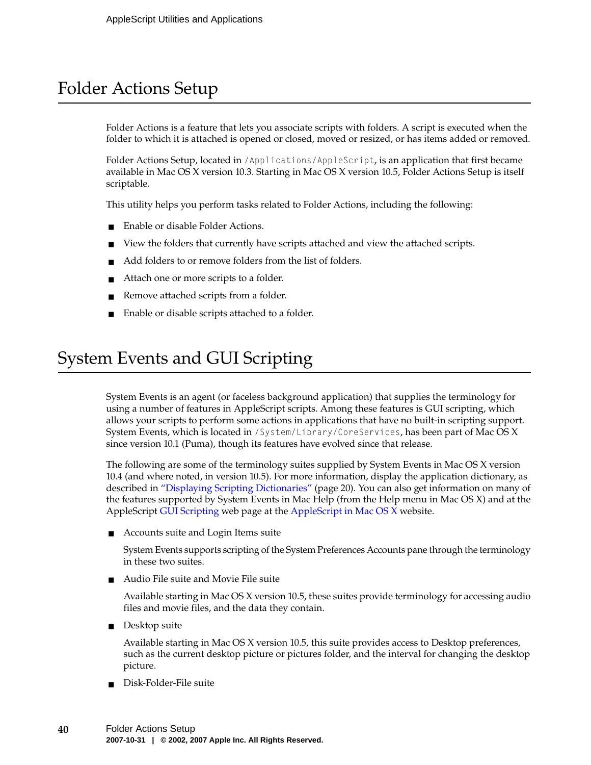## <span id="page-39-0"></span>Folder Actions Setup

Folder Actions is a feature that lets you associate scripts with folders. A script is executed when the folder to which it is attached is opened or closed, moved or resized, or has items added or removed.

Folder Actions Setup, located in /Applications/AppleScript, is an application that first became available in Mac OS X version 10.3. Starting in Mac OS X version 10.5, Folder Actions Setup is itself scriptable.

This utility helps you perform tasks related to Folder Actions, including the following:

- Enable or disable Folder Actions.
- View the folders that currently have scripts attached and view the attached scripts.
- Add folders to or remove folders from the list of folders.
- Attach one or more scripts to a folder.
- Remove attached scripts from a folder.
- Enable or disable scripts attached to a folder.

## <span id="page-39-1"></span>System Events and GUI Scripting

System Events is an agent (or faceless background application) that supplies the terminology for using a number of features in AppleScript scripts. Among these features is GUI scripting, which allows your scripts to perform some actions in applications that have no built-in scripting support. System Events, which is located in /System/Library/CoreServices, has been part of Mac OS X since version 10.1 (Puma), though its features have evolved since that release.

The following are some of the terminology suites supplied by System Events in Mac OS X version 10.4 (and where noted, in version 10.5). For more information, display the application dictionary, as described in "Displaying Scripting [Dictionaries"](#page-19-1) (page 20). You can also get information on many of the features supported by System Events in Mac Help (from the Help menu in Mac OS X) and at the AppleScript GUI [Scripting](http://www.apple.com/applescript/uiscripting/) web page at the [AppleScript](http://www.apple.com/applescript/macosx/) in Mac OS X website.

Accounts suite and Login Items suite

System Events supports scripting of the System Preferences Accounts pane through the terminology in these two suites.

■ Audio File suite and Movie File suite

Available starting in Mac OS X version 10.5, these suites provide terminology for accessing audio files and movie files, and the data they contain.

■ Desktop suite

Available starting in Mac OS X version 10.5, this suite provides access to Desktop preferences, such as the current desktop picture or pictures folder, and the interval for changing the desktop picture.

Disk-Folder-File suite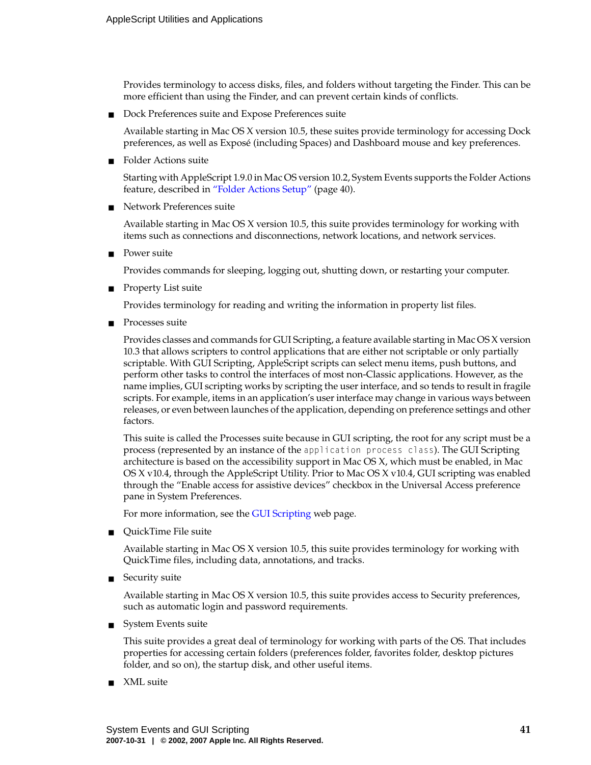Provides terminology to access disks, files, and folders without targeting the Finder. This can be more efficient than using the Finder, and can prevent certain kinds of conflicts.

Dock Preferences suite and Expose Preferences suite

Available starting in Mac OS X version 10.5, these suites provide terminology for accessing Dock preferences, as well as Exposé (including Spaces) and Dashboard mouse and key preferences.

Folder Actions suite

Starting with AppleScript 1.9.0 in Mac OS version 10.2, System Events supports the Folder Actions feature, described in "Folder [Actions](#page-39-0) Setup" (page 40).

■ Network Preferences suite

Available starting in Mac OS X version 10.5, this suite provides terminology for working with items such as connections and disconnections, network locations, and network services.

■ Power suite

Provides commands for sleeping, logging out, shutting down, or restarting your computer.

■ Property List suite

Provides terminology for reading and writing the information in property list files.

■ Processes suite

Provides classes and commands for GUI Scripting, a feature available starting in Mac OS X version 10.3 that allows scripters to control applications that are either not scriptable or only partially scriptable. With GUI Scripting, AppleScript scripts can select menu items, push buttons, and perform other tasks to control the interfaces of most non-Classic applications. However, as the name implies, GUI scripting works by scripting the user interface, and so tends to result in fragile scripts. For example, items in an application's user interface may change in various ways between releases, or even between launches of the application, depending on preference settings and other factors.

This suite is called the Processes suite because in GUI scripting, the root for any script must be a process (represented by an instance of the application process class). The GUI Scripting architecture is based on the accessibility support in Mac OS X, which must be enabled, in Mac OS X v10.4, through the AppleScript Utility. Prior to Mac OS X v10.4, GUI scripting was enabled through the "Enable access for assistive devices" checkbox in the Universal Access preference pane in System Preferences.

For more information, see the GUI [Scripting](http://www.apple.com/applescript/uiscripting/) web page.

■ QuickTime File suite

Available starting in Mac OS X version 10.5, this suite provides terminology for working with QuickTime files, including data, annotations, and tracks.

■ Security suite

Available starting in Mac OS X version 10.5, this suite provides access to Security preferences, such as automatic login and password requirements.

**System Events suite** 

This suite provides a great deal of terminology for working with parts of the OS. That includes properties for accessing certain folders (preferences folder, favorites folder, desktop pictures folder, and so on), the startup disk, and other useful items.

■ XML suite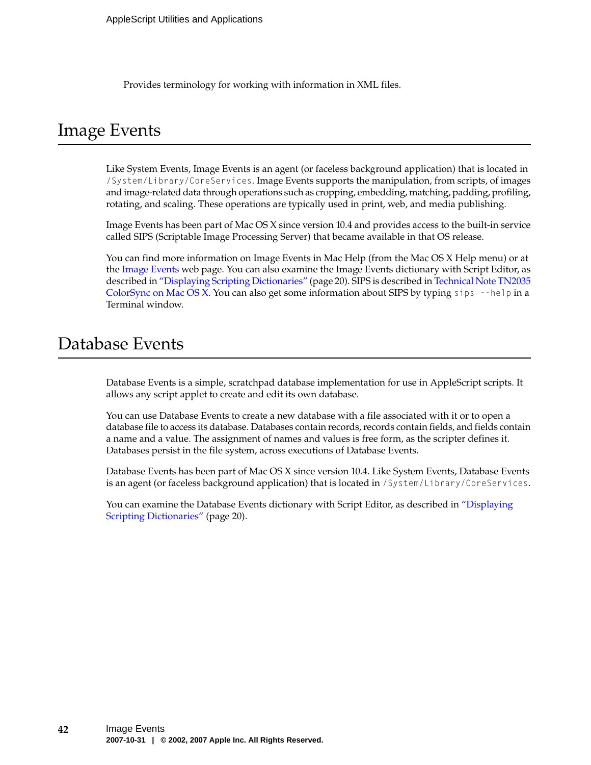Provides terminology for working with information in XML files.

#### <span id="page-41-0"></span>Image Events

Like System Events, Image Events is an agent (or faceless background application) that is located in /System/Library/CoreServices. Image Events supports the manipulation, from scripts, of images and image-related data through operations such as cropping, embedding, matching, padding, profiling, rotating, and scaling. These operations are typically used in print, web, and media publishing.

Image Events has been part of Mac OS X since version 10.4 and provides access to the built-in service called SIPS (Scriptable Image Processing Server) that became available in that OS release.

You can find more information on Image Events in Mac Help (from the Mac OS X Help menu) or at the Image [Events](http://www.apple.com/applescript/imageevents/) web page. You can also examine the Image Events dictionary with Script Editor, as described in "Displaying Scripting Dictionaries" (page 20). SIPS is described in [Technical](http://developer.apple.com/technotes/tn/tn2035.html#TNTAG58) Note TN2035 [ColorSync](http://developer.apple.com/technotes/tn/tn2035.html#TNTAG58) on Mac OS X. You can also get some information about SIPS by typing  $\sin s$  -help in a Terminal window.

#### <span id="page-41-1"></span>Database Events

Database Events is a simple, scratchpad database implementation for use in AppleScript scripts. It allows any script applet to create and edit its own database.

You can use Database Events to create a new database with a file associated with it or to open a database file to access its database. Databases contain records, records contain fields, and fields contain a name and a value. The assignment of names and values is free form, as the scripter defines it. Databases persist in the file system, across executions of Database Events.

Database Events has been part of Mac OS X since version 10.4. Like System Events, Database Events is an agent (or faceless background application) that is located in /System/Library/CoreServices.

You can examine the Database Events dictionary with Script Editor, as described in ["Displaying](#page-19-1) Scripting [Dictionaries"](#page-19-1) (page 20).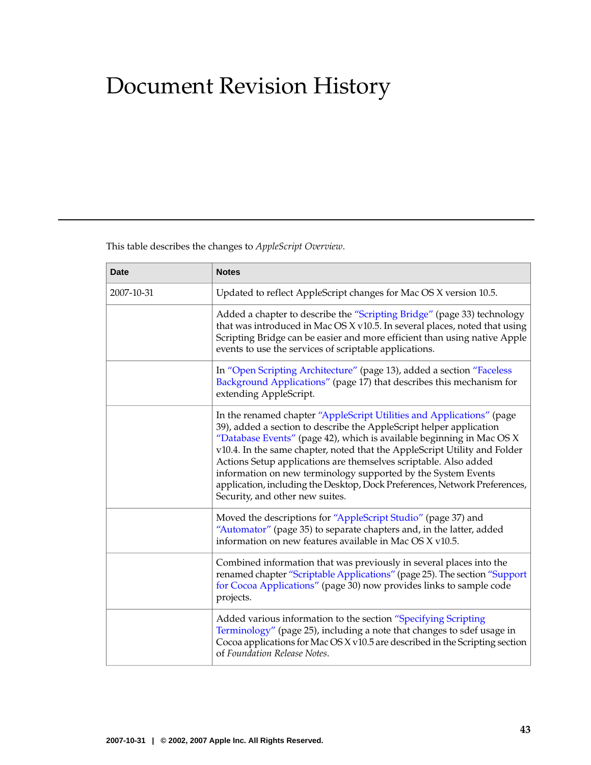# <span id="page-42-0"></span>Document Revision History

This table describes the changes to *AppleScript Overview*.

| <b>Date</b> | <b>Notes</b>                                                                                                                                                                                                                                                                                                                                                                                                                                                                                                                                             |
|-------------|----------------------------------------------------------------------------------------------------------------------------------------------------------------------------------------------------------------------------------------------------------------------------------------------------------------------------------------------------------------------------------------------------------------------------------------------------------------------------------------------------------------------------------------------------------|
| 2007-10-31  | Updated to reflect AppleScript changes for Mac OS X version 10.5.                                                                                                                                                                                                                                                                                                                                                                                                                                                                                        |
|             | Added a chapter to describe the "Scripting Bridge" (page 33) technology<br>that was introduced in Mac OS X v10.5. In several places, noted that using<br>Scripting Bridge can be easier and more efficient than using native Apple<br>events to use the services of scriptable applications.                                                                                                                                                                                                                                                             |
|             | In "Open Scripting Architecture" (page 13), added a section "Faceless<br>Background Applications" (page 17) that describes this mechanism for<br>extending AppleScript.                                                                                                                                                                                                                                                                                                                                                                                  |
|             | In the renamed chapter "AppleScript Utilities and Applications" (page<br>39), added a section to describe the AppleScript helper application<br>"Database Events" (page 42), which is available beginning in Mac OS X<br>v10.4. In the same chapter, noted that the AppleScript Utility and Folder<br>Actions Setup applications are themselves scriptable. Also added<br>information on new terminology supported by the System Events<br>application, including the Desktop, Dock Preferences, Network Preferences,<br>Security, and other new suites. |
|             | Moved the descriptions for "AppleScript Studio" (page 37) and<br>"Automator" (page 35) to separate chapters and, in the latter, added<br>information on new features available in Mac OS X v10.5.                                                                                                                                                                                                                                                                                                                                                        |
|             | Combined information that was previously in several places into the<br>renamed chapter "Scriptable Applications" (page 25). The section "Support<br>for Cocoa Applications" (page 30) now provides links to sample code<br>projects.                                                                                                                                                                                                                                                                                                                     |
|             | Added various information to the section "Specifying Scripting<br>Terminology" (page 25), including a note that changes to sdef usage in<br>Cocoa applications for Mac OS X v10.5 are described in the Scripting section<br>of Foundation Release Notes.                                                                                                                                                                                                                                                                                                 |